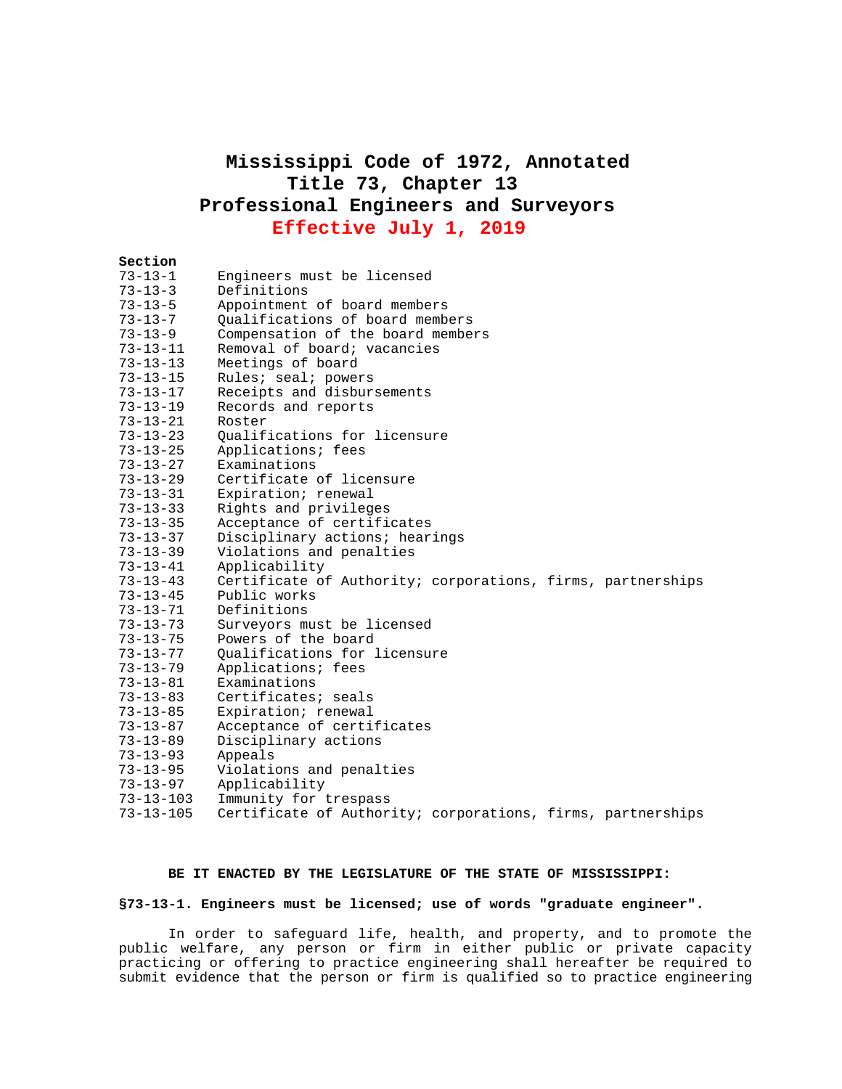# **Mississippi Code of 1972, Annotated Title 73, Chapter 13 Professional Engineers and Surveyors Effective July 1, 2019**

# **Section**  73-13-1 Engineers must be licensed 73-13-3 Definitions 73-13-5 Appointment of board members<br>73-13-7 Oualifications of board memb 73-13-7 Qualifications of board members Compensation of the board members 73-13-11 Removal of board; vacancies 73-13-13 Meetings of board 73-13-15 Rules; seal; powers 73-13-17 Receipts and disbursements 73-13-19 Records and reports 73-13-21 Roster 73-13-23 Qualifications for licensure 73-13-25 Applications; fees 73-13-27 Examinations 73-13-29 Certificate of licensure 73-13-31 Expiration; renewal 73-13-33 Rights and privileges Acceptance of certificates 73-13-37 Disciplinary actions; hearings 73-13-39 Violations and penalties 73-13-41 Applicability 73-13-43 Certificate of Authority; corporations, firms, partnerships 73-13-45 Public works 73-13-71 Definitions 73-13-73 Surveyors must be licensed 73-13-75 Powers of the board 73-13-77 Qualifications for licensure 73-13-79 Applications; fees 73-13-81 Examinations 73-13-83 Certificates; seals Expiration; renewal 73-13-87 Acceptance of certificates 73-13-89 Disciplinary actions 73-13-93 Appeals 73-13-95 Violations and penalties 73-13-97 Applicability Immunity for trespass

# 73-13-105 Certificate of Authority; corporations, firms, partnerships

#### **BE IT ENACTED BY THE LEGISLATURE OF THE STATE OF MISSISSIPPI:**

### **§73-13-1. Engineers must be licensed; use of words "graduate engineer".**

In order to safeguard life, health, and property, and to promote the public welfare, any person or firm in either public or private capacity practicing or offering to practice engineering shall hereafter be required to submit evidence that the person or firm is qualified so to practice engineering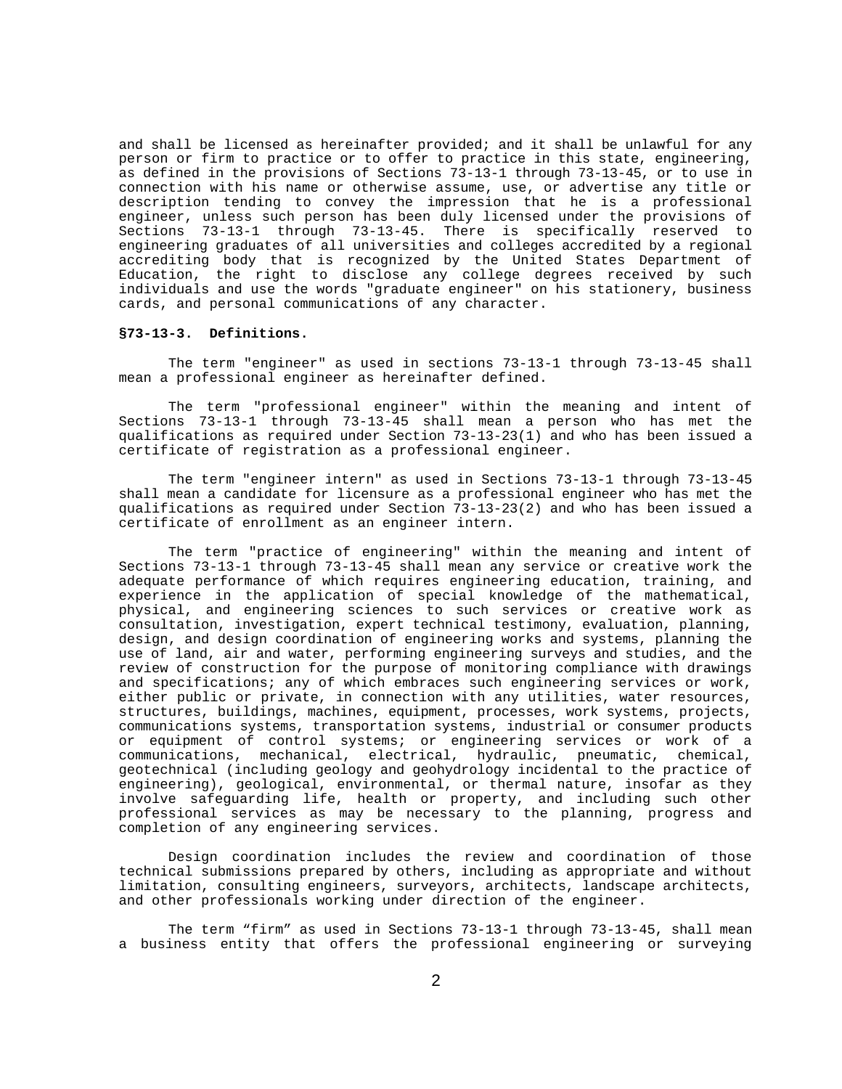and shall be licensed as hereinafter provided; and it shall be unlawful for any person or firm to practice or to offer to practice in this state, engineering, as defined in the provisions of Sections 73-13-1 through 73-13-45, or to use in connection with his name or otherwise assume, use, or advertise any title or description tending to convey the impression that he is a professional engineer, unless such person has been duly licensed under the provisions of<br>Sections 73-13-1 through 73-13-45. There is specifically reserved to 73-13-1 through 73-13-45. There is specifically reserved to engineering graduates of all universities and colleges accredited by a regional accrediting body that is recognized by the United States Department of Education, the right to disclose any college degrees received by such individuals and use the words "graduate engineer" on his stationery, business cards, and personal communications of any character.

### **§73-13-3. Definitions.**

The term "engineer" as used in sections 73-13-1 through 73-13-45 shall mean a professional engineer as hereinafter defined.

The term "professional engineer" within the meaning and intent of Sections 73-13-1 through 73-13-45 shall mean a person who has met the qualifications as required under Section 73-13-23(1) and who has been issued a certificate of registration as a professional engineer.

The term "engineer intern" as used in Sections 73-13-1 through 73-13-45 shall mean a candidate for licensure as a professional engineer who has met the qualifications as required under Section 73-13-23(2) and who has been issued a certificate of enrollment as an engineer intern.

The term "practice of engineering" within the meaning and intent of Sections 73-13-1 through 73-13-45 shall mean any service or creative work the adequate performance of which requires engineering education, training, and experience in the application of special knowledge of the mathematical, physical, and engineering sciences to such services or creative work as consultation, investigation, expert technical testimony, evaluation, planning, design, and design coordination of engineering works and systems, planning the use of land, air and water, performing engineering surveys and studies, and the review of construction for the purpose of monitoring compliance with drawings and specifications; any of which embraces such engineering services or work, either public or private, in connection with any utilities, water resources, structures, buildings, machines, equipment, processes, work systems, projects, communications systems, transportation systems, industrial or consumer products or equipment of control systems; or engineering services or work of a communications, mechanical, electrical, hydraulic, pneumatic, chemical, geotechnical (including geology and geohydrology incidental to the practice of engineering), geological, environmental, or thermal nature, insofar as they involve safeguarding life, health or property, and including such other professional services as may be necessary to the planning, progress and completion of any engineering services.

Design coordination includes the review and coordination of those technical submissions prepared by others, including as appropriate and without limitation, consulting engineers, surveyors, architects, landscape architects, and other professionals working under direction of the engineer.

The term "firm" as used in Sections 73-13-1 through 73-13-45, shall mean a business entity that offers the professional engineering or surveying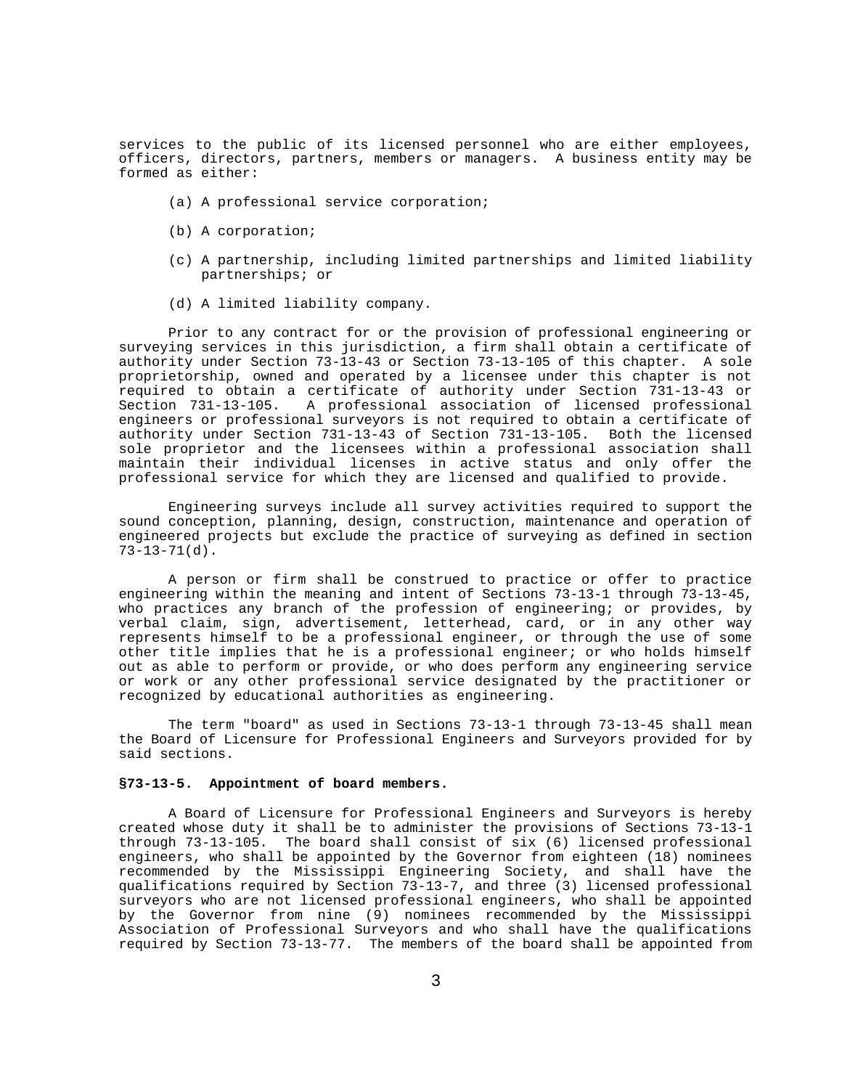services to the public of its licensed personnel who are either employees, officers, directors, partners, members or managers. A business entity may be formed as either:

- (a) A professional service corporation;
- (b) A corporation;
- (c) A partnership, including limited partnerships and limited liability partnerships; or
- (d) A limited liability company.

Prior to any contract for or the provision of professional engineering or surveying services in this jurisdiction, a firm shall obtain a certificate of authority under Section 73-13-43 or Section 73-13-105 of this chapter. A sole proprietorship, owned and operated by a licensee under this chapter is not required to obtain a certificate of authority under Section 731-13-43 or Section 731-13-105. A professional association of licensed professional engineers or professional surveyors is not required to obtain a certificate of authority under Section 731-13-43 of Section 731-13-105. Both the licensed sole proprietor and the licensees within a professional association shall maintain their individual licenses in active status and only offer the professional service for which they are licensed and qualified to provide.

Engineering surveys include all survey activities required to support the sound conception, planning, design, construction, maintenance and operation of engineered projects but exclude the practice of surveying as defined in section 73-13-71(d).

A person or firm shall be construed to practice or offer to practice engineering within the meaning and intent of Sections 73-13-1 through 73-13-45, who practices any branch of the profession of engineering; or provides, by verbal claim, sign, advertisement, letterhead, card, or in any other way represents himself to be a professional engineer, or through the use of some other title implies that he is a professional engineer; or who holds himself out as able to perform or provide, or who does perform any engineering service or work or any other professional service designated by the practitioner or recognized by educational authorities as engineering.

The term "board" as used in Sections 73-13-1 through 73-13-45 shall mean the Board of Licensure for Professional Engineers and Surveyors provided for by said sections.

### **§73-13-5. Appointment of board members.**

A Board of Licensure for Professional Engineers and Surveyors is hereby created whose duty it shall be to administer the provisions of Sections 73-13-1 through 73-13-105. The board shall consist of six (6) licensed professional engineers, who shall be appointed by the Governor from eighteen (18) nominees recommended by the Mississippi Engineering Society, and shall have the qualifications required by Section 73-13-7, and three (3) licensed professional surveyors who are not licensed professional engineers, who shall be appointed by the Governor from nine (9) nominees recommended by the Mississippi Association of Professional Surveyors and who shall have the qualifications required by Section 73-13-77. The members of the board shall be appointed from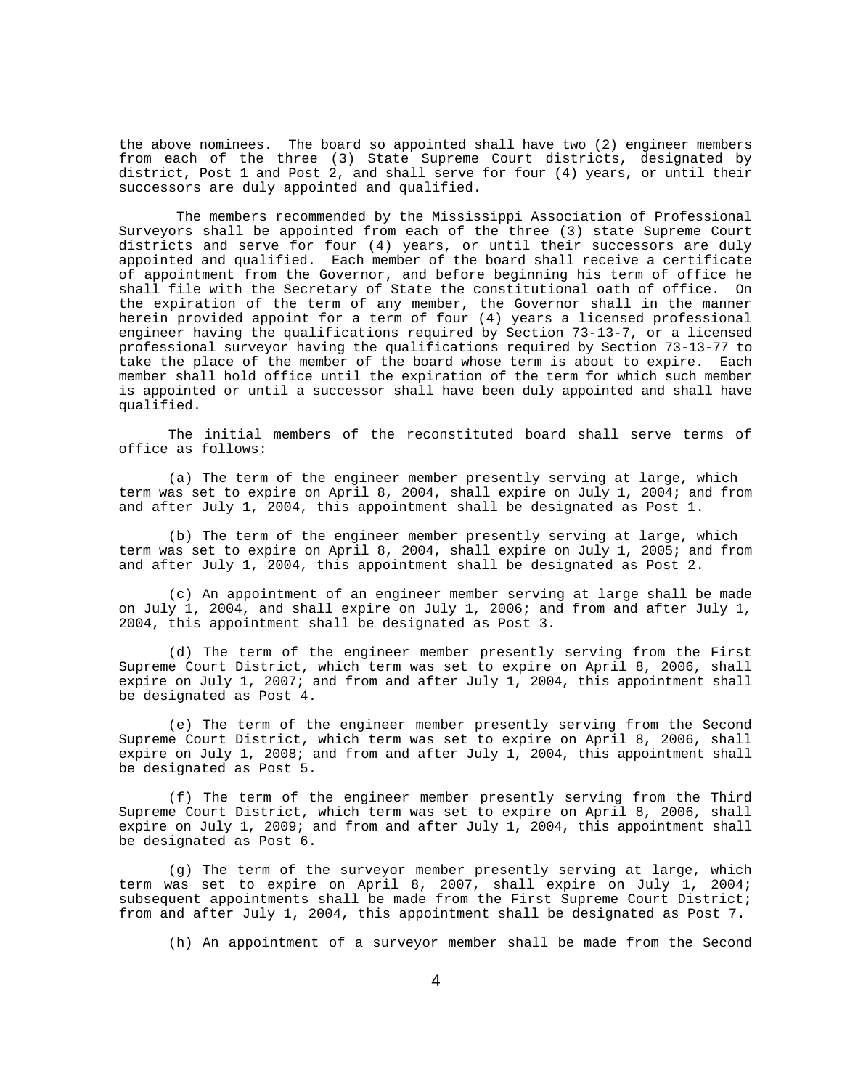the above nominees. The board so appointed shall have two (2) engineer members from each of the three (3) State Supreme Court districts, designated by district, Post 1 and Post 2, and shall serve for four (4) years, or until their successors are duly appointed and qualified.

The members recommended by the Mississippi Association of Professional Surveyors shall be appointed from each of the three (3) state Supreme Court districts and serve for four (4) years, or until their successors are duly appointed and qualified. Each member of the board shall receive a certificate of appointment from the Governor, and before beginning his term of office he shall file with the Secretary of State the constitutional oath of office. On the expiration of the term of any member, the Governor shall in the manner herein provided appoint for a term of four (4) years a licensed professional engineer having the qualifications required by Section 73-13-7, or a licensed professional surveyor having the qualifications required by Section 73-13-77 to take the place of the member of the board whose term is about to expire. Each member shall hold office until the expiration of the term for which such member is appointed or until a successor shall have been duly appointed and shall have qualified.

The initial members of the reconstituted board shall serve terms of office as follows:

(a) The term of the engineer member presently serving at large, which term was set to expire on April 8, 2004, shall expire on July 1, 2004; and from and after July 1, 2004, this appointment shall be designated as Post 1.

(b) The term of the engineer member presently serving at large, which term was set to expire on April 8, 2004, shall expire on July 1, 2005; and from and after July 1, 2004, this appointment shall be designated as Post 2.

(c) An appointment of an engineer member serving at large shall be made on July 1, 2004, and shall expire on July 1, 2006; and from and after July 1, 2004, this appointment shall be designated as Post 3.

(d) The term of the engineer member presently serving from the First Supreme Court District, which term was set to expire on April 8, 2006, shall expire on July 1, 2007; and from and after July 1, 2004, this appointment shall be designated as Post 4.

(e) The term of the engineer member presently serving from the Second Supreme Court District, which term was set to expire on April 8, 2006, shall expire on July 1, 2008; and from and after July 1, 2004, this appointment shall be designated as Post 5.

(f) The term of the engineer member presently serving from the Third Supreme Court District, which term was set to expire on April 8, 2006, shall expire on July 1, 2009; and from and after July 1, 2004, this appointment shall be designated as Post 6.

(g) The term of the surveyor member presently serving at large, which term was set to expire on April 8, 2007, shall expire on July 1, 2004; subsequent appointments shall be made from the First Supreme Court District; from and after July 1, 2004, this appointment shall be designated as Post 7.

(h) An appointment of a surveyor member shall be made from the Second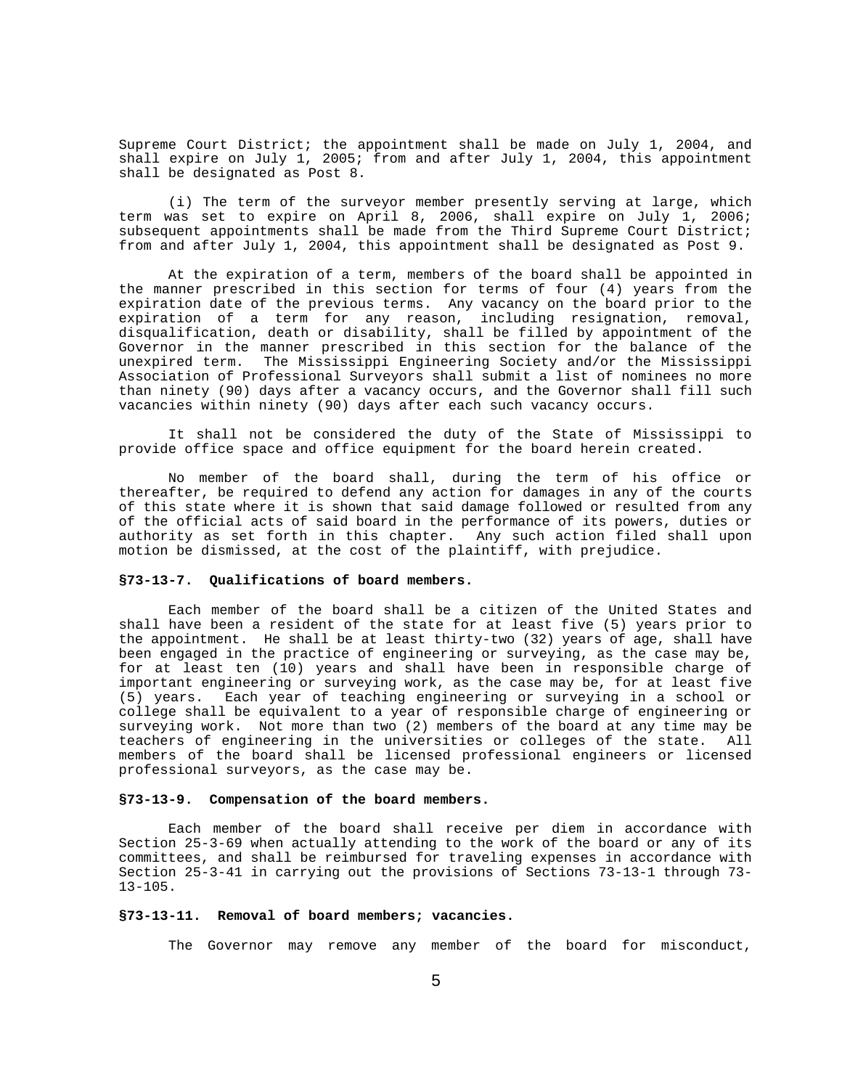Supreme Court District; the appointment shall be made on July 1, 2004, and shall expire on July 1, 2005; from and after July 1, 2004, this appointment shall be designated as Post 8.

(i) The term of the surveyor member presently serving at large, which term was set to expire on April 8, 2006, shall expire on July 1, 2006; subsequent appointments shall be made from the Third Supreme Court District; from and after July 1, 2004, this appointment shall be designated as Post 9.

At the expiration of a term, members of the board shall be appointed in the manner prescribed in this section for terms of four (4) years from the expiration date of the previous terms. Any vacancy on the board prior to the expiration of a term for any reason, including resignation, removal, disqualification, death or disability, shall be filled by appointment of the Governor in the manner prescribed in this section for the balance of the unexpired term. The Mississippi Engineering Society and/or the Mississippi Association of Professional Surveyors shall submit a list of nominees no more than ninety (90) days after a vacancy occurs, and the Governor shall fill such vacancies within ninety (90) days after each such vacancy occurs.

It shall not be considered the duty of the State of Mississippi to provide office space and office equipment for the board herein created.

No member of the board shall, during the term of his office or thereafter, be required to defend any action for damages in any of the courts of this state where it is shown that said damage followed or resulted from any of the official acts of said board in the performance of its powers, duties or authority as set forth in this chapter. Any such action filed shall upon motion be dismissed, at the cost of the plaintiff, with prejudice.

# **§73-13-7. Qualifications of board members.**

Each member of the board shall be a citizen of the United States and shall have been a resident of the state for at least five (5) years prior to the appointment. He shall be at least thirty-two (32) years of age, shall have been engaged in the practice of engineering or surveying, as the case may be, for at least ten (10) years and shall have been in responsible charge of important engineering or surveying work, as the case may be, for at least five (5) years. Each year of teaching engineering or surveying in a school or college shall be equivalent to a year of responsible charge of engineering or surveying work. Not more than two (2) members of the board at any time may be teachers of engineering in the universities or colleges of the state. All members of the board shall be licensed professional engineers or licensed professional surveyors, as the case may be.

#### **§73-13-9. Compensation of the board members.**

Each member of the board shall receive per diem in accordance with Section 25-3-69 when actually attending to the work of the board or any of its committees, and shall be reimbursed for traveling expenses in accordance with Section 25-3-41 in carrying out the provisions of Sections 73-13-1 through 73- 13-105.

### **§73-13-11. Removal of board members; vacancies.**

The Governor may remove any member of the board for misconduct,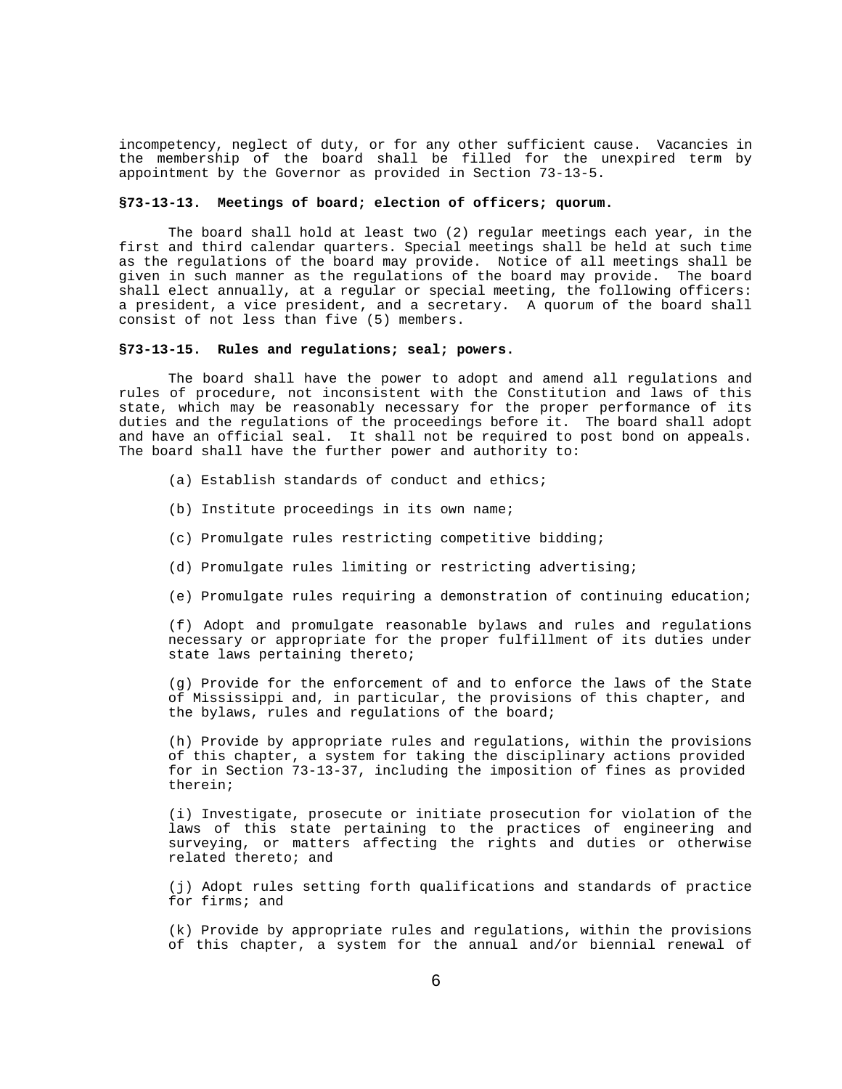incompetency, neglect of duty, or for any other sufficient cause. Vacancies in the membership of the board shall be filled for the unexpired term by appointment by the Governor as provided in Section 73-13-5.

# **§73-13-13. Meetings of board; election of officers; quorum.**

The board shall hold at least two (2) regular meetings each year, in the first and third calendar quarters. Special meetings shall be held at such time as the regulations of the board may provide. Notice of all meetings shall be given in such manner as the regulations of the board may provide. The board shall elect annually, at a regular or special meeting, the following officers: a president, a vice president, and a secretary. A quorum of the board shall consist of not less than five (5) members.

#### **§73-13-15. Rules and regulations; seal; powers.**

The board shall have the power to adopt and amend all regulations and rules of procedure, not inconsistent with the Constitution and laws of this state, which may be reasonably necessary for the proper performance of its duties and the regulations of the proceedings before it. The board shall adopt and have an official seal. It shall not be required to post bond on appeals. The board shall have the further power and authority to:

- (a) Establish standards of conduct and ethics;
- (b) Institute proceedings in its own name;
- (c) Promulgate rules restricting competitive bidding;
- (d) Promulgate rules limiting or restricting advertising;
- (e) Promulgate rules requiring a demonstration of continuing education;

(f) Adopt and promulgate reasonable bylaws and rules and regulations necessary or appropriate for the proper fulfillment of its duties under state laws pertaining thereto;

(g) Provide for the enforcement of and to enforce the laws of the State of Mississippi and, in particular, the provisions of this chapter, and the bylaws, rules and regulations of the board;

(h) Provide by appropriate rules and regulations, within the provisions of this chapter, a system for taking the disciplinary actions provided for in Section 73-13-37, including the imposition of fines as provided therein;

(i) Investigate, prosecute or initiate prosecution for violation of the laws of this state pertaining to the practices of engineering and surveying, or matters affecting the rights and duties or otherwise related thereto; and

(j) Adopt rules setting forth qualifications and standards of practice for firms; and

(k) Provide by appropriate rules and regulations, within the provisions of this chapter, a system for the annual and/or biennial renewal of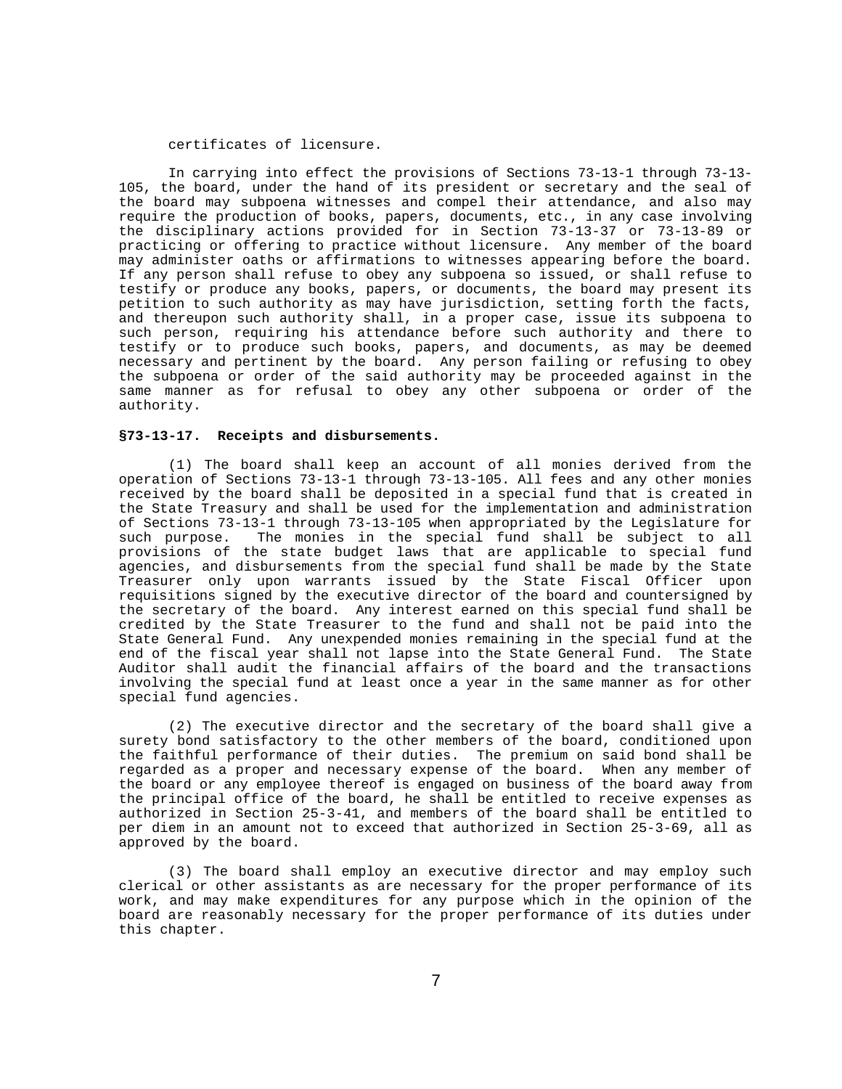### certificates of licensure.

In carrying into effect the provisions of Sections 73-13-1 through 73-13- 105, the board, under the hand of its president or secretary and the seal of the board may subpoena witnesses and compel their attendance, and also may require the production of books, papers, documents, etc., in any case involving the disciplinary actions provided for in Section 73-13-37 or 73-13-89 or practicing or offering to practice without licensure. Any member of the board may administer oaths or affirmations to witnesses appearing before the board. If any person shall refuse to obey any subpoena so issued, or shall refuse to testify or produce any books, papers, or documents, the board may present its petition to such authority as may have jurisdiction, setting forth the facts, and thereupon such authority shall, in a proper case, issue its subpoena to such person, requiring his attendance before such authority and there to testify or to produce such books, papers, and documents, as may be deemed necessary and pertinent by the board. Any person failing or refusing to obey the subpoena or order of the said authority may be proceeded against in the same manner as for refusal to obey any other subpoena or order of the authority.

#### **§73-13-17. Receipts and disbursements.**

(1) The board shall keep an account of all monies derived from the operation of Sections 73-13-1 through 73-13-105. All fees and any other monies received by the board shall be deposited in a special fund that is created in the State Treasury and shall be used for the implementation and administration of Sections 73-13-1 through 73-13-105 when appropriated by the Legislature for<br>such purpose. The monies in the special fund shall be subject to all The monies in the special fund shall be subject to all provisions of the state budget laws that are applicable to special fund agencies, and disbursements from the special fund shall be made by the State Treasurer only upon warrants issued by the State Fiscal Officer upon requisitions signed by the executive director of the board and countersigned by the secretary of the board. Any interest earned on this special fund shall be credited by the State Treasurer to the fund and shall not be paid into the State General Fund. Any unexpended monies remaining in the special fund at the end of the fiscal year shall not lapse into the State General Fund. The State Auditor shall audit the financial affairs of the board and the transactions involving the special fund at least once a year in the same manner as for other special fund agencies.

(2) The executive director and the secretary of the board shall give a surety bond satisfactory to the other members of the board, conditioned upon the faithful performance of their duties. The premium on said bond shall be regarded as a proper and necessary expense of the board. When any member of the board or any employee thereof is engaged on business of the board away from the principal office of the board, he shall be entitled to receive expenses as authorized in Section 25-3-41, and members of the board shall be entitled to per diem in an amount not to exceed that authorized in Section 25-3-69, all as approved by the board.

(3) The board shall employ an executive director and may employ such clerical or other assistants as are necessary for the proper performance of its work, and may make expenditures for any purpose which in the opinion of the board are reasonably necessary for the proper performance of its duties under this chapter.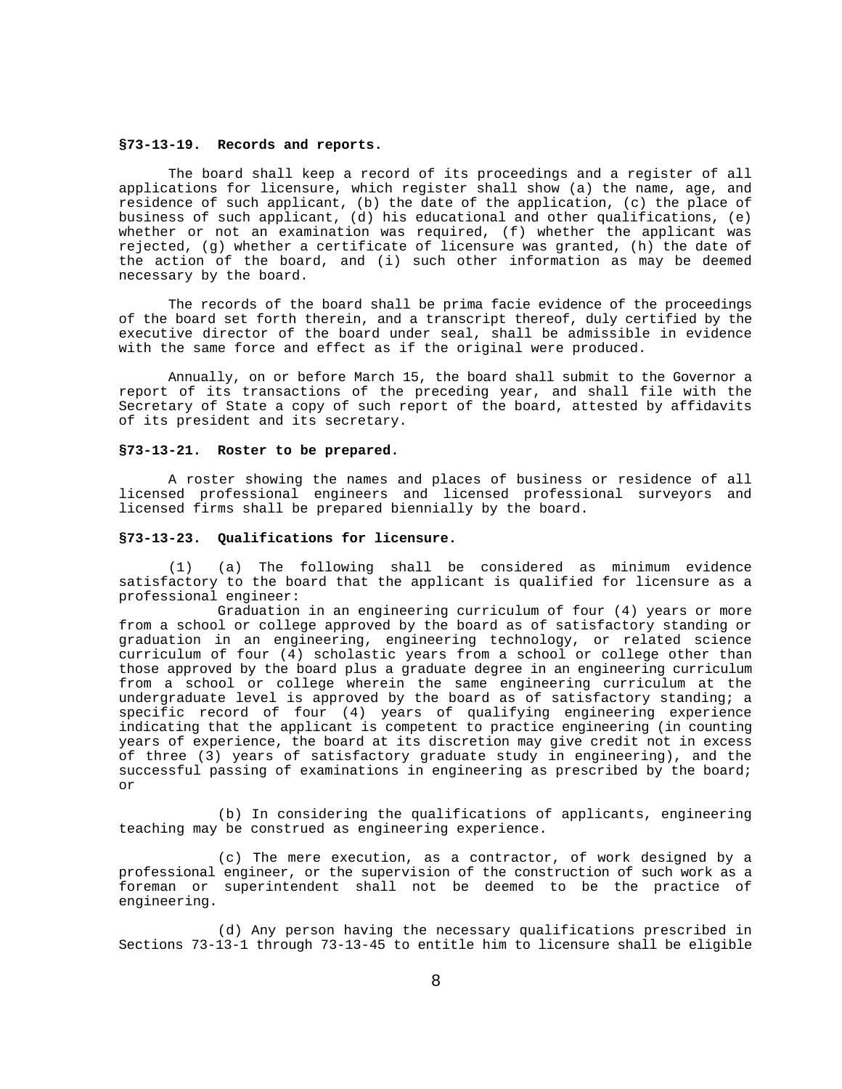### **§73-13-19. Records and reports.**

The board shall keep a record of its proceedings and a register of all applications for licensure, which register shall show (a) the name, age, and residence of such applicant, (b) the date of the application, (c) the place of business of such applicant, (d) his educational and other qualifications, (e) whether or not an examination was required, (f) whether the applicant was rejected, (g) whether a certificate of licensure was granted, (h) the date of the action of the board, and (i) such other information as may be deemed necessary by the board.

The records of the board shall be prima facie evidence of the proceedings of the board set forth therein, and a transcript thereof, duly certified by the executive director of the board under seal, shall be admissible in evidence with the same force and effect as if the original were produced.

Annually, on or before March 15, the board shall submit to the Governor a report of its transactions of the preceding year, and shall file with the Secretary of State a copy of such report of the board, attested by affidavits of its president and its secretary.

### **§73-13-21. Roster to be prepared.**

A roster showing the names and places of business or residence of all licensed professional engineers and licensed professional surveyors and licensed firms shall be prepared biennially by the board.

### **§73-13-23. Qualifications for licensure.**

(1) (a) The following shall be considered as minimum evidence satisfactory to the board that the applicant is qualified for licensure as a professional engineer:

Graduation in an engineering curriculum of four (4) years or more from a school or college approved by the board as of satisfactory standing or graduation in an engineering, engineering technology, or related science curriculum of four (4) scholastic years from a school or college other than those approved by the board plus a graduate degree in an engineering curriculum from a school or college wherein the same engineering curriculum at the undergraduate level is approved by the board as of satisfactory standing; a specific record of four (4) years of qualifying engineering experience indicating that the applicant is competent to practice engineering (in counting years of experience, the board at its discretion may give credit not in excess of three (3) years of satisfactory graduate study in engineering), and the successful passing of examinations in engineering as prescribed by the board; or

(b) In considering the qualifications of applicants, engineering teaching may be construed as engineering experience.

(c) The mere execution, as a contractor, of work designed by a professional engineer, or the supervision of the construction of such work as a foreman or superintendent shall not be deemed to be the practice of engineering.

(d) Any person having the necessary qualifications prescribed in Sections 73-13-1 through 73-13-45 to entitle him to licensure shall be eligible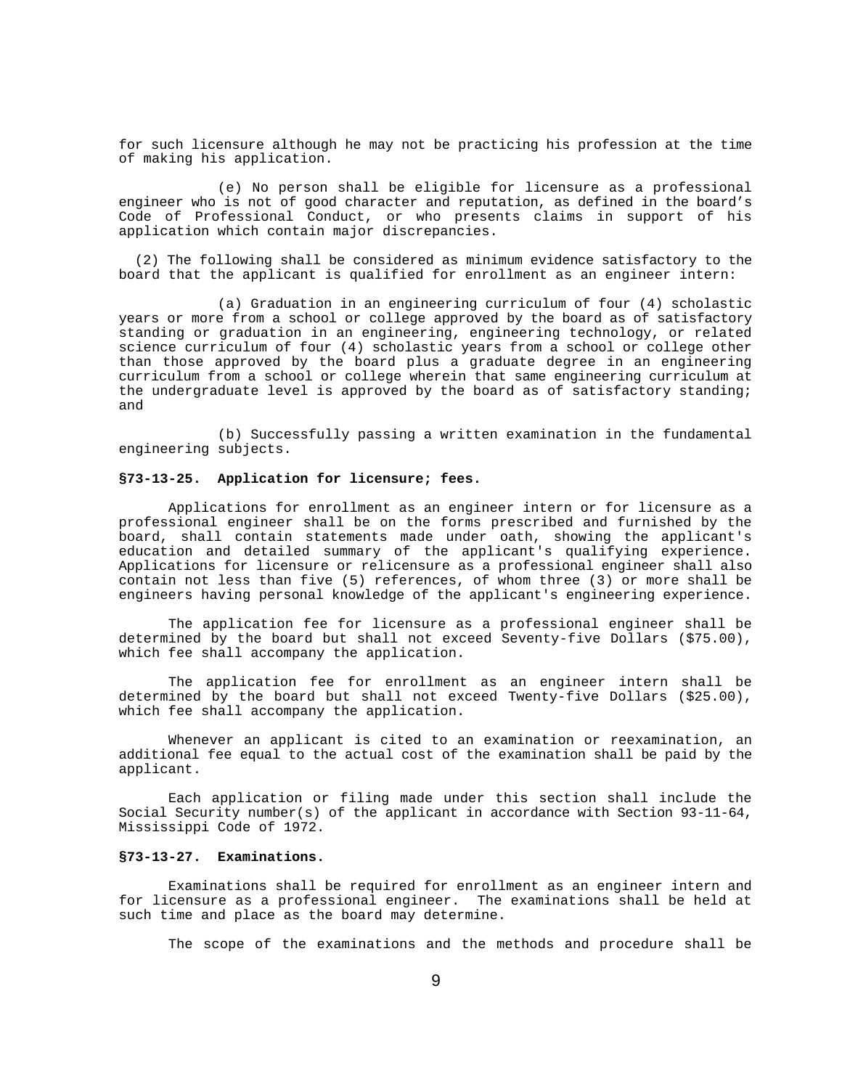for such licensure although he may not be practicing his profession at the time of making his application.

(e) No person shall be eligible for licensure as a professional engineer who is not of good character and reputation, as defined in the board's Code of Professional Conduct, or who presents claims in support of his application which contain major discrepancies.

 (2) The following shall be considered as minimum evidence satisfactory to the board that the applicant is qualified for enrollment as an engineer intern:

(a) Graduation in an engineering curriculum of four (4) scholastic years or more from a school or college approved by the board as of satisfactory standing or graduation in an engineering, engineering technology, or related science curriculum of four (4) scholastic years from a school or college other than those approved by the board plus a graduate degree in an engineering curriculum from a school or college wherein that same engineering curriculum at the undergraduate level is approved by the board as of satisfactory standing; and

(b) Successfully passing a written examination in the fundamental engineering subjects.

#### **§73-13-25. Application for licensure; fees.**

Applications for enrollment as an engineer intern or for licensure as a professional engineer shall be on the forms prescribed and furnished by the board, shall contain statements made under oath, showing the applicant's education and detailed summary of the applicant's qualifying experience. Applications for licensure or relicensure as a professional engineer shall also contain not less than five (5) references, of whom three (3) or more shall be engineers having personal knowledge of the applicant's engineering experience.

The application fee for licensure as a professional engineer shall be determined by the board but shall not exceed Seventy-five Dollars (\$75.00), which fee shall accompany the application.

The application fee for enrollment as an engineer intern shall be determined by the board but shall not exceed Twenty-five Dollars (\$25.00), which fee shall accompany the application.

Whenever an applicant is cited to an examination or reexamination, an additional fee equal to the actual cost of the examination shall be paid by the applicant.

Each application or filing made under this section shall include the Social Security number(s) of the applicant in accordance with Section 93-11-64, Mississippi Code of 1972.

# **§73-13-27. Examinations.**

Examinations shall be required for enrollment as an engineer intern and for licensure as a professional engineer. The examinations shall be held at such time and place as the board may determine.

The scope of the examinations and the methods and procedure shall be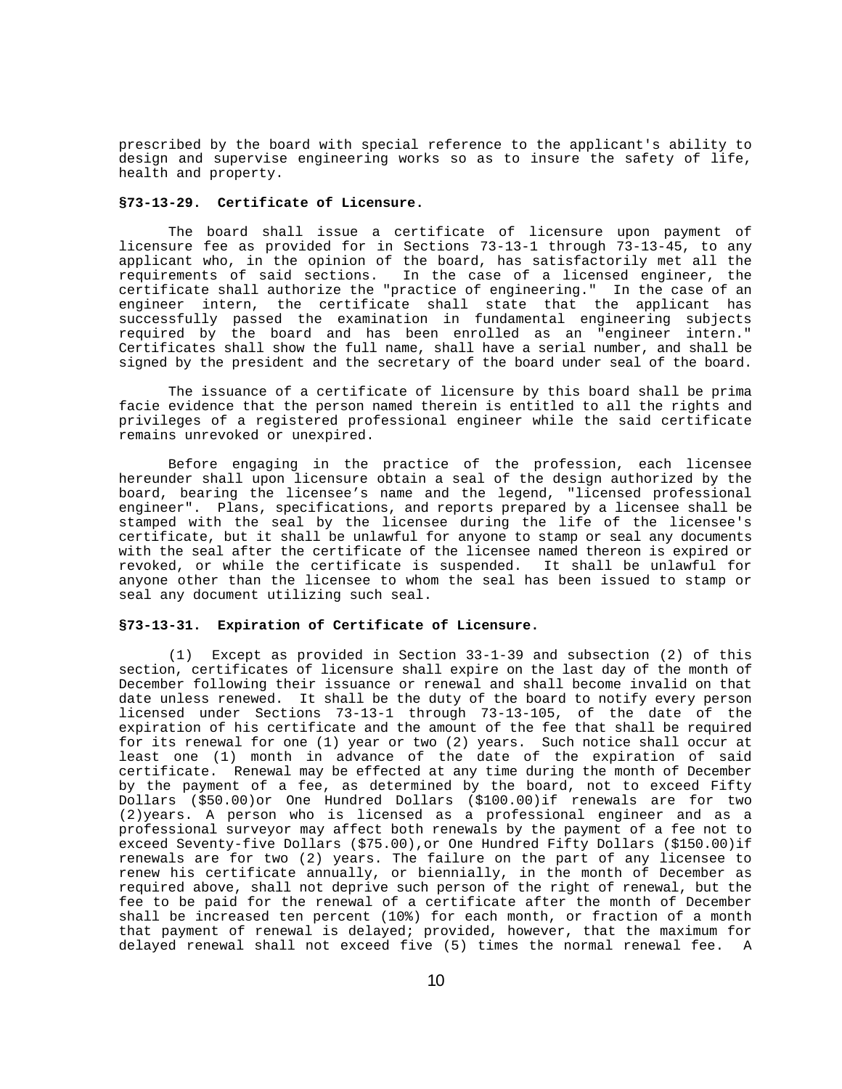prescribed by the board with special reference to the applicant's ability to design and supervise engineering works so as to insure the safety of life, health and property.

# **§73-13-29. Certificate of Licensure.**

The board shall issue a certificate of licensure upon payment of licensure fee as provided for in Sections 73-13-1 through 73-13-45, to any applicant who, in the opinion of the board, has satisfactorily met all the requirements of said sections. In the case of a licensed engineer, the certificate shall authorize the "practice of engineering." In the case of an engineer intern, the certificate shall state that the applicant has successfully passed the examination in fundamental engineering subjects required by the board and has been enrolled as an "engineer intern." Certificates shall show the full name, shall have a serial number, and shall be signed by the president and the secretary of the board under seal of the board.

The issuance of a certificate of licensure by this board shall be prima facie evidence that the person named therein is entitled to all the rights and privileges of a registered professional engineer while the said certificate remains unrevoked or unexpired.

Before engaging in the practice of the profession, each licensee hereunder shall upon licensure obtain a seal of the design authorized by the board, bearing the licensee's name and the legend, "licensed professional engineer". Plans, specifications, and reports prepared by a licensee shall be stamped with the seal by the licensee during the life of the licensee's certificate, but it shall be unlawful for anyone to stamp or seal any documents with the seal after the certificate of the licensee named thereon is expired or revoked, or while the certificate is suspended. It shall be unlawful for anyone other than the licensee to whom the seal has been issued to stamp or seal any document utilizing such seal.

#### **§73-13-31. Expiration of Certificate of Licensure.**

(1) Except as provided in Section 33-1-39 and subsection (2) of this section, certificates of licensure shall expire on the last day of the month of December following their issuance or renewal and shall become invalid on that date unless renewed. It shall be the duty of the board to notify every person licensed under Sections 73-13-1 through 73-13-105, of the date of the expiration of his certificate and the amount of the fee that shall be required for its renewal for one (1) year or two (2) years. Such notice shall occur at least one (1) month in advance of the date of the expiration of said certificate. Renewal may be effected at any time during the month of December by the payment of a fee, as determined by the board, not to exceed Fifty Dollars (\$50.00)or One Hundred Dollars (\$100.00)if renewals are for two (2)years. A person who is licensed as a professional engineer and as a professional surveyor may affect both renewals by the payment of a fee not to exceed Seventy-five Dollars (\$75.00),or One Hundred Fifty Dollars (\$150.00)if renewals are for two (2) years. The failure on the part of any licensee to renew his certificate annually, or biennially, in the month of December as required above, shall not deprive such person of the right of renewal, but the fee to be paid for the renewal of a certificate after the month of December shall be increased ten percent (10%) for each month, or fraction of a month that payment of renewal is delayed; provided, however, that the maximum for delayed renewal shall not exceed five (5) times the normal renewal fee. A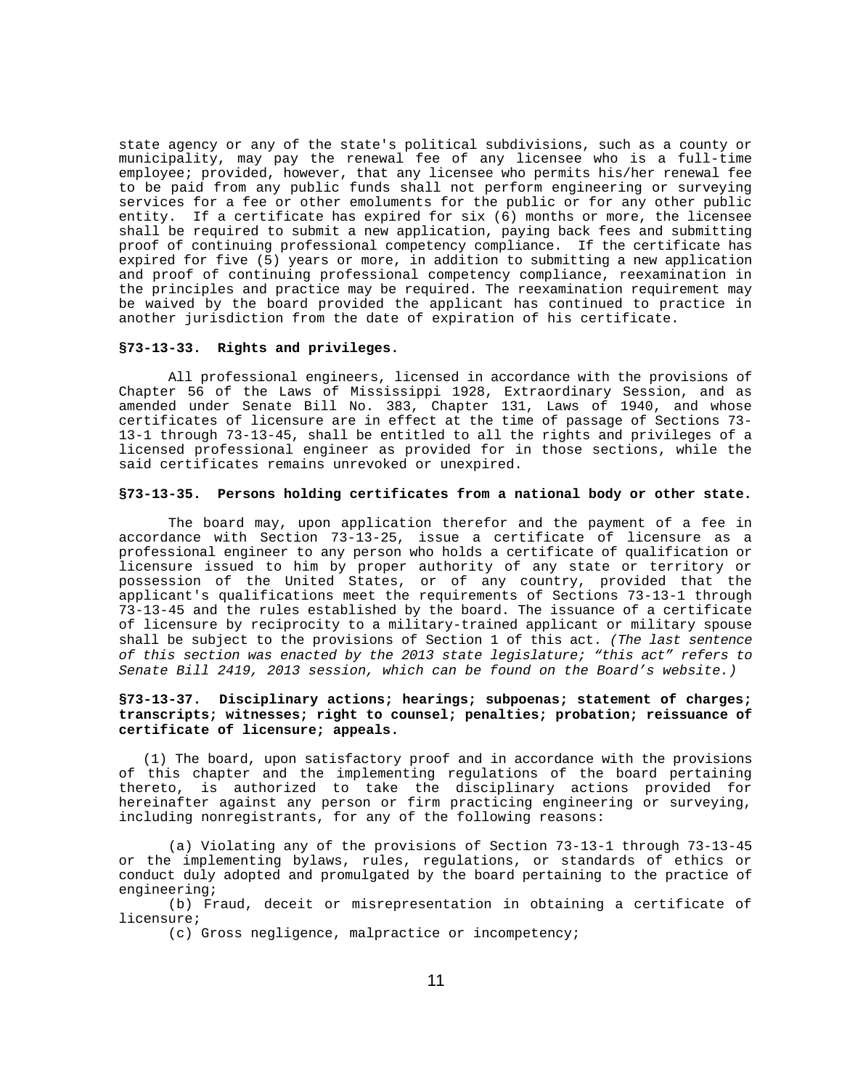state agency or any of the state's political subdivisions, such as a county or municipality, may pay the renewal fee of any licensee who is a full-time employee; provided, however, that any licensee who permits his/her renewal fee to be paid from any public funds shall not perform engineering or surveying services for a fee or other emoluments for the public or for any other public entity. If a certificate has expired for six (6) months or more, the licensee shall be required to submit a new application, paying back fees and submitting proof of continuing professional competency compliance. If the certificate has expired for five (5) years or more, in addition to submitting a new application and proof of continuing professional competency compliance, reexamination in the principles and practice may be required. The reexamination requirement may be waived by the board provided the applicant has continued to practice in another jurisdiction from the date of expiration of his certificate.

# **§73-13-33. Rights and privileges.**

All professional engineers, licensed in accordance with the provisions of Chapter 56 of the Laws of Mississippi 1928, Extraordinary Session, and as amended under Senate Bill No. 383, Chapter 131, Laws of 1940, and whose certificates of licensure are in effect at the time of passage of Sections 73- 13-1 through 73-13-45, shall be entitled to all the rights and privileges of a licensed professional engineer as provided for in those sections, while the said certificates remains unrevoked or unexpired.

#### **§73-13-35. Persons holding certificates from a national body or other state.**

The board may, upon application therefor and the payment of a fee in accordance with Section 73-13-25, issue a certificate of licensure as a professional engineer to any person who holds a certificate of qualification or licensure issued to him by proper authority of any state or territory or possession of the United States, or of any country, provided that the applicant's qualifications meet the requirements of Sections 73-13-1 through 73-13-45 and the rules established by the board. The issuance of a certificate of licensure by reciprocity to a military-trained applicant or military spouse shall be subject to the provisions of Section 1 of this act. *(The last sentence of this section was enacted by the 2013 state legislature; "this act" refers to Senate Bill 2419, 2013 session, which can be found on the Board's website.)*

# **§73-13-37. Disciplinary actions; hearings; subpoenas; statement of charges; transcripts; witnesses; right to counsel; penalties; probation; reissuance of certificate of licensure; appeals.**

 (1) The board, upon satisfactory proof and in accordance with the provisions of this chapter and the implementing regulations of the board pertaining thereto, is authorized to take the disciplinary actions provided for hereinafter against any person or firm practicing engineering or surveying, including nonregistrants, for any of the following reasons:

(a) Violating any of the provisions of Section 73-13-1 through 73-13-45 or the implementing bylaws, rules, regulations, or standards of ethics or conduct duly adopted and promulgated by the board pertaining to the practice of engineering;

(b) Fraud, deceit or misrepresentation in obtaining a certificate of licensure;

(c) Gross negligence, malpractice or incompetency;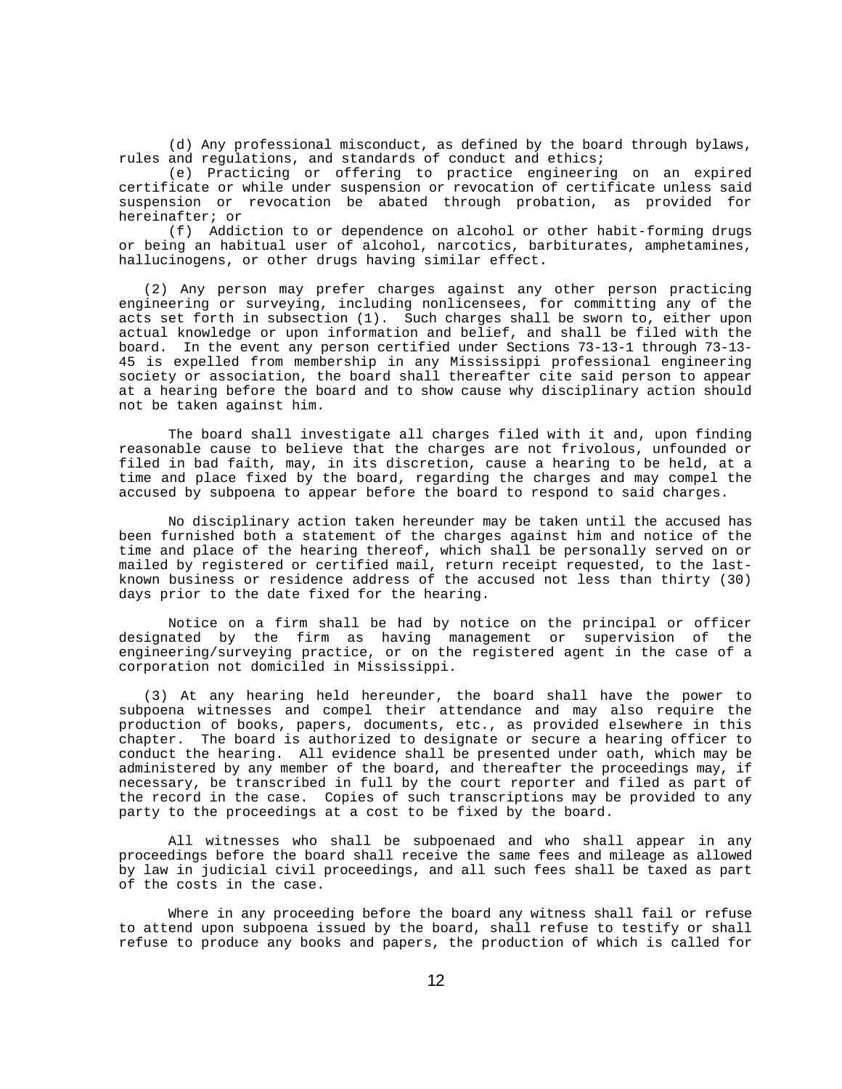(d) Any professional misconduct, as defined by the board through bylaws, rules and regulations, and standards of conduct and ethics;

(e) Practicing or offering to practice engineering on an expired certificate or while under suspension or revocation of certificate unless said suspension or revocation be abated through probation, as provided for hereinafter; or

(f) Addiction to or dependence on alcohol or other habit-forming drugs or being an habitual user of alcohol, narcotics, barbiturates, amphetamines, hallucinogens, or other drugs having similar effect.

 (2) Any person may prefer charges against any other person practicing engineering or surveying, including nonlicensees, for committing any of the acts set forth in subsection (1). Such charges shall be sworn to, either upon actual knowledge or upon information and belief, and shall be filed with the board. In the event any person certified under Sections 73-13-1 through 73-13- 45 is expelled from membership in any Mississippi professional engineering society or association, the board shall thereafter cite said person to appear at a hearing before the board and to show cause why disciplinary action should not be taken against him.

The board shall investigate all charges filed with it and, upon finding reasonable cause to believe that the charges are not frivolous, unfounded or filed in bad faith, may, in its discretion, cause a hearing to be held, at a time and place fixed by the board, regarding the charges and may compel the accused by subpoena to appear before the board to respond to said charges.

No disciplinary action taken hereunder may be taken until the accused has been furnished both a statement of the charges against him and notice of the time and place of the hearing thereof, which shall be personally served on or mailed by registered or certified mail, return receipt requested, to the lastknown business or residence address of the accused not less than thirty (30) days prior to the date fixed for the hearing.

Notice on a firm shall be had by notice on the principal or officer designated by the firm as having management or supervision of the engineering/surveying practice, or on the registered agent in the case of a corporation not domiciled in Mississippi.

 (3) At any hearing held hereunder, the board shall have the power to subpoena witnesses and compel their attendance and may also require the production of books, papers, documents, etc., as provided elsewhere in this chapter. The board is authorized to designate or secure a hearing officer to conduct the hearing. All evidence shall be presented under oath, which may be administered by any member of the board, and thereafter the proceedings may, if necessary, be transcribed in full by the court reporter and filed as part of the record in the case. Copies of such transcriptions may be provided to any party to the proceedings at a cost to be fixed by the board.

All witnesses who shall be subpoenaed and who shall appear in any proceedings before the board shall receive the same fees and mileage as allowed by law in judicial civil proceedings, and all such fees shall be taxed as part of the costs in the case.

Where in any proceeding before the board any witness shall fail or refuse to attend upon subpoena issued by the board, shall refuse to testify or shall refuse to produce any books and papers, the production of which is called for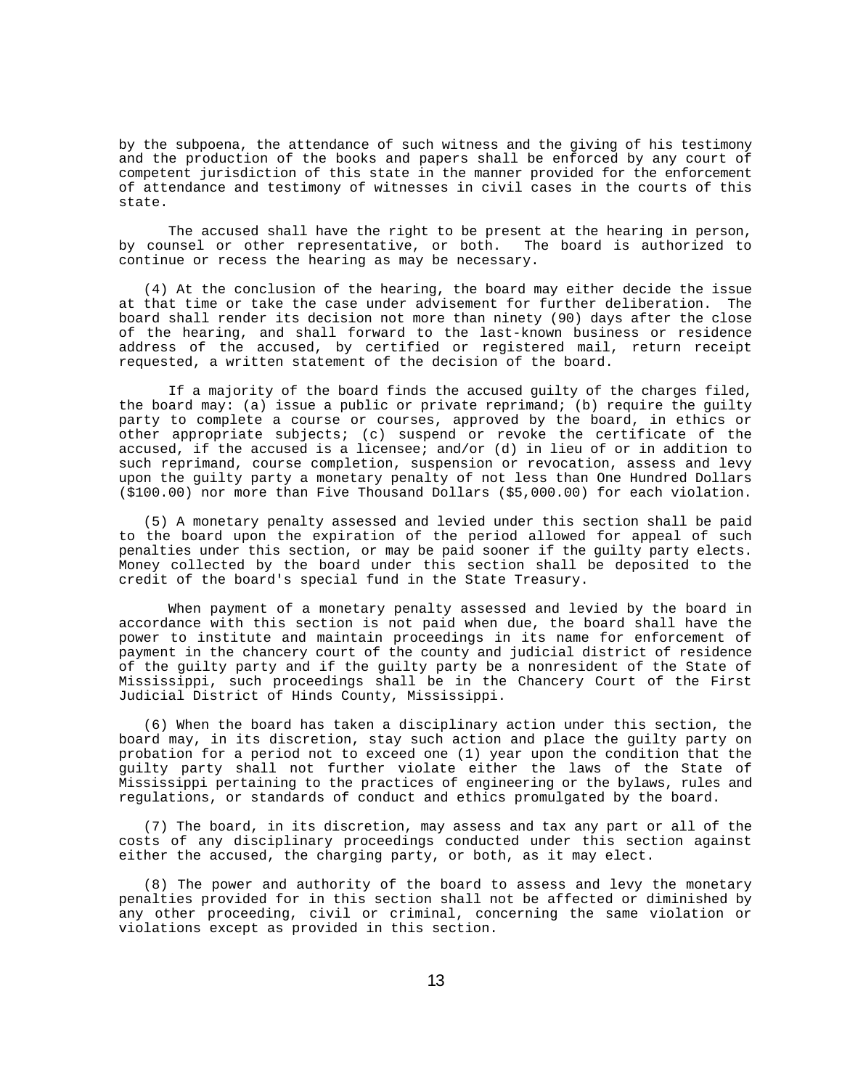by the subpoena, the attendance of such witness and the giving of his testimony and the production of the books and papers shall be enforced by any court of competent jurisdiction of this state in the manner provided for the enforcement of attendance and testimony of witnesses in civil cases in the courts of this state.

The accused shall have the right to be present at the hearing in person, by counsel or other representative, or both. The board is authorized to continue or recess the hearing as may be necessary.

 (4) At the conclusion of the hearing, the board may either decide the issue at that time or take the case under advisement for further deliberation. The board shall render its decision not more than ninety (90) days after the close of the hearing, and shall forward to the last-known business or residence address of the accused, by certified or registered mail, return receipt requested, a written statement of the decision of the board.

If a majority of the board finds the accused guilty of the charges filed, the board may: (a) issue a public or private reprimand; (b) require the guilty party to complete a course or courses, approved by the board, in ethics or other appropriate subjects; (c) suspend or revoke the certificate of the accused, if the accused is a licensee; and/or (d) in lieu of or in addition to such reprimand, course completion, suspension or revocation, assess and levy upon the guilty party a monetary penalty of not less than One Hundred Dollars (\$100.00) nor more than Five Thousand Dollars (\$5,000.00) for each violation.

 (5) A monetary penalty assessed and levied under this section shall be paid to the board upon the expiration of the period allowed for appeal of such penalties under this section, or may be paid sooner if the guilty party elects. Money collected by the board under this section shall be deposited to the credit of the board's special fund in the State Treasury.

When payment of a monetary penalty assessed and levied by the board in accordance with this section is not paid when due, the board shall have the power to institute and maintain proceedings in its name for enforcement of payment in the chancery court of the county and judicial district of residence of the guilty party and if the guilty party be a nonresident of the State of Mississippi, such proceedings shall be in the Chancery Court of the First Judicial District of Hinds County, Mississippi.

 (6) When the board has taken a disciplinary action under this section, the board may, in its discretion, stay such action and place the guilty party on probation for a period not to exceed one (1) year upon the condition that the guilty party shall not further violate either the laws of the State of Mississippi pertaining to the practices of engineering or the bylaws, rules and regulations, or standards of conduct and ethics promulgated by the board.

 (7) The board, in its discretion, may assess and tax any part or all of the costs of any disciplinary proceedings conducted under this section against either the accused, the charging party, or both, as it may elect.

 (8) The power and authority of the board to assess and levy the monetary penalties provided for in this section shall not be affected or diminished by any other proceeding, civil or criminal, concerning the same violation or violations except as provided in this section.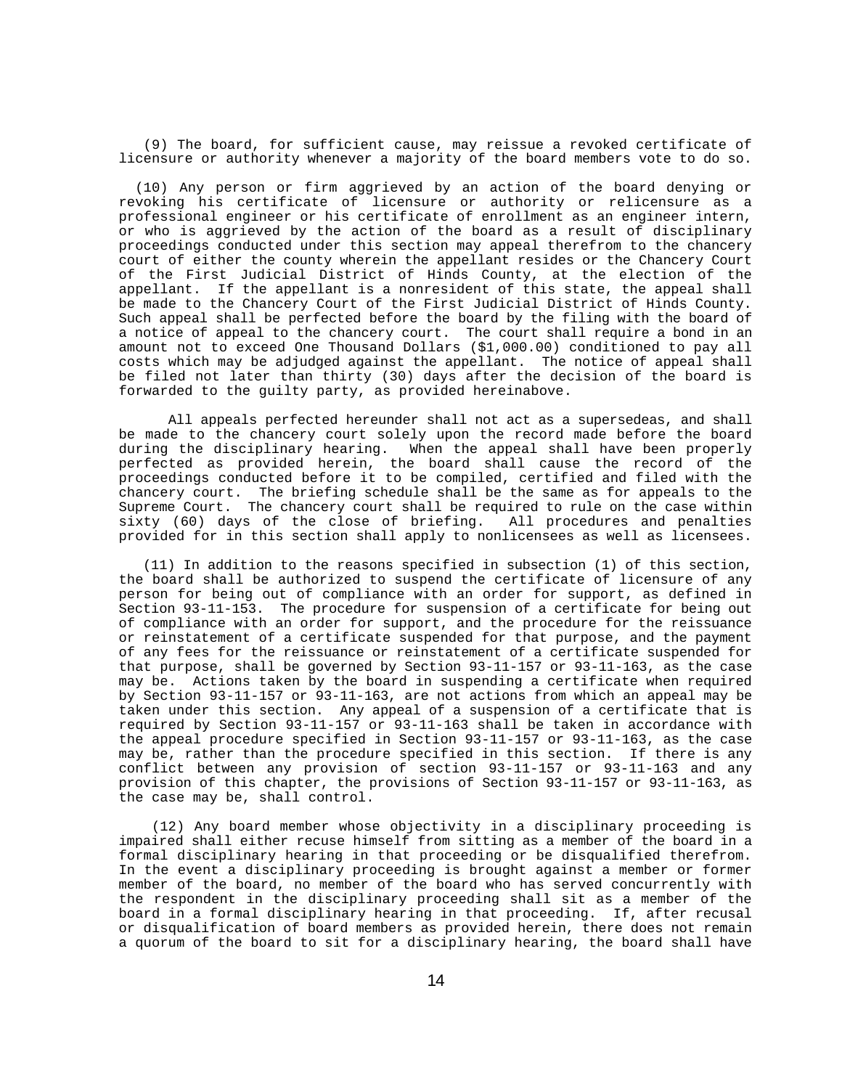(9) The board, for sufficient cause, may reissue a revoked certificate of licensure or authority whenever a majority of the board members vote to do so.

 (10) Any person or firm aggrieved by an action of the board denying or revoking his certificate of licensure or authority or relicensure as a professional engineer or his certificate of enrollment as an engineer intern, or who is aggrieved by the action of the board as a result of disciplinary proceedings conducted under this section may appeal therefrom to the chancery court of either the county wherein the appellant resides or the Chancery Court of the First Judicial District of Hinds County, at the election of the appellant. If the appellant is a nonresident of this state, the appeal shall be made to the Chancery Court of the First Judicial District of Hinds County. Such appeal shall be perfected before the board by the filing with the board of a notice of appeal to the chancery court. The court shall require a bond in an amount not to exceed One Thousand Dollars (\$1,000.00) conditioned to pay all costs which may be adjudged against the appellant. The notice of appeal shall be filed not later than thirty (30) days after the decision of the board is forwarded to the guilty party, as provided hereinabove.

All appeals perfected hereunder shall not act as a supersedeas, and shall be made to the chancery court solely upon the record made before the board during the disciplinary hearing. When the appeal shall have been properly perfected as provided herein, the board shall cause the record of the proceedings conducted before it to be compiled, certified and filed with the chancery court. The briefing schedule shall be the same as for appeals to the Supreme Court. The chancery court shall be required to rule on the case within sixty (60) days of the close of briefing. All procedures and penalties provided for in this section shall apply to nonlicensees as well as licensees.

 (11) In addition to the reasons specified in subsection (1) of this section, the board shall be authorized to suspend the certificate of licensure of any person for being out of compliance with an order for support, as defined in Section 93-11-153. The procedure for suspension of a certificate for being out of compliance with an order for support, and the procedure for the reissuance or reinstatement of a certificate suspended for that purpose, and the payment of any fees for the reissuance or reinstatement of a certificate suspended for that purpose, shall be governed by Section 93-11-157 or 93-11-163, as the case may be. Actions taken by the board in suspending a certificate when required by Section 93-11-157 or 93-11-163, are not actions from which an appeal may be taken under this section. Any appeal of a suspension of a certificate that is required by Section  $93-11-157$  or  $93-11-163$  shall be taken in accordance with the appeal procedure specified in Section 93-11-157 or 93-11-163, as the case may be, rather than the procedure specified in this section. If there is any conflict between any provision of section 93-11-157 or 93-11-163 and any provision of this chapter, the provisions of Section 93-11-157 or 93-11-163, as the case may be, shall control.

 (12) Any board member whose objectivity in a disciplinary proceeding is impaired shall either recuse himself from sitting as a member of the board in a formal disciplinary hearing in that proceeding or be disqualified therefrom. In the event a disciplinary proceeding is brought against a member or former member of the board, no member of the board who has served concurrently with the respondent in the disciplinary proceeding shall sit as a member of the board in a formal disciplinary hearing in that proceeding. If, after recusal or disqualification of board members as provided herein, there does not remain a quorum of the board to sit for a disciplinary hearing, the board shall have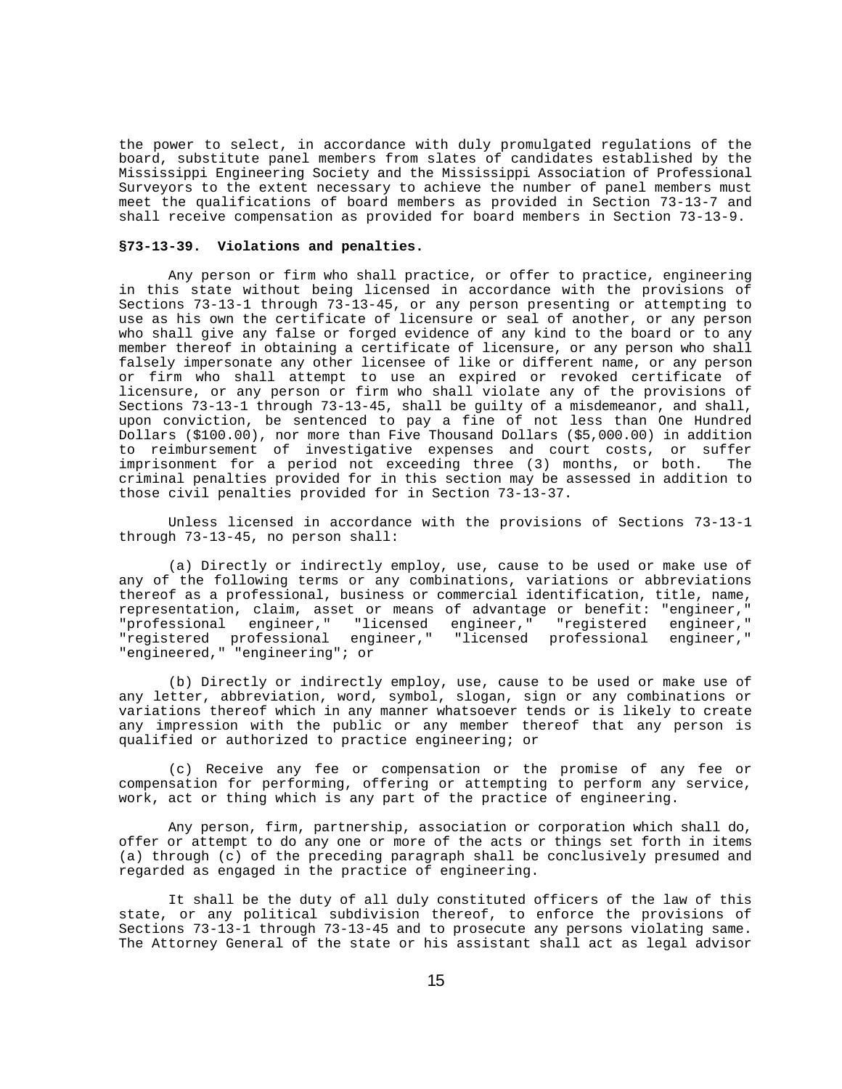the power to select, in accordance with duly promulgated regulations of the board, substitute panel members from slates of candidates established by the Mississippi Engineering Society and the Mississippi Association of Professional Surveyors to the extent necessary to achieve the number of panel members must meet the qualifications of board members as provided in Section 73-13-7 and shall receive compensation as provided for board members in Section 73-13-9.

#### **§73-13-39. Violations and penalties.**

Any person or firm who shall practice, or offer to practice, engineering in this state without being licensed in accordance with the provisions of Sections 73-13-1 through 73-13-45, or any person presenting or attempting to use as his own the certificate of licensure or seal of another, or any person who shall give any false or forged evidence of any kind to the board or to any member thereof in obtaining a certificate of licensure, or any person who shall falsely impersonate any other licensee of like or different name, or any person or firm who shall attempt to use an expired or revoked certificate of licensure, or any person or firm who shall violate any of the provisions of Sections 73-13-1 through 73-13-45, shall be guilty of a misdemeanor, and shall, upon conviction, be sentenced to pay a fine of not less than One Hundred Dollars (\$100.00), nor more than Five Thousand Dollars (\$5,000.00) in addition to reimbursement of investigative expenses and court costs, or suffer<br>imprisonment for a period not exceeding three (3) months, or both. The imprisonment for a period not exceeding three (3) months, or both. criminal penalties provided for in this section may be assessed in addition to those civil penalties provided for in Section 73-13-37.

Unless licensed in accordance with the provisions of Sections 73-13-1 through 73-13-45, no person shall:

(a) Directly or indirectly employ, use, cause to be used or make use of any of the following terms or any combinations, variations or abbreviations thereof as a professional, business or commercial identification, title, name, representation, claim, asset or means of advantage or benefit: "engineer," "professional engineer," "licensed engineer," "registered engineer," "registered professional engineer," "licensed professional engineer," "engineered," "engineering"; or

(b) Directly or indirectly employ, use, cause to be used or make use of any letter, abbreviation, word, symbol, slogan, sign or any combinations or variations thereof which in any manner whatsoever tends or is likely to create any impression with the public or any member thereof that any person is qualified or authorized to practice engineering; or

(c) Receive any fee or compensation or the promise of any fee or compensation for performing, offering or attempting to perform any service, work, act or thing which is any part of the practice of engineering.

Any person, firm, partnership, association or corporation which shall do, offer or attempt to do any one or more of the acts or things set forth in items (a) through (c) of the preceding paragraph shall be conclusively presumed and regarded as engaged in the practice of engineering.

It shall be the duty of all duly constituted officers of the law of this state, or any political subdivision thereof, to enforce the provisions of Sections 73-13-1 through 73-13-45 and to prosecute any persons violating same. The Attorney General of the state or his assistant shall act as legal advisor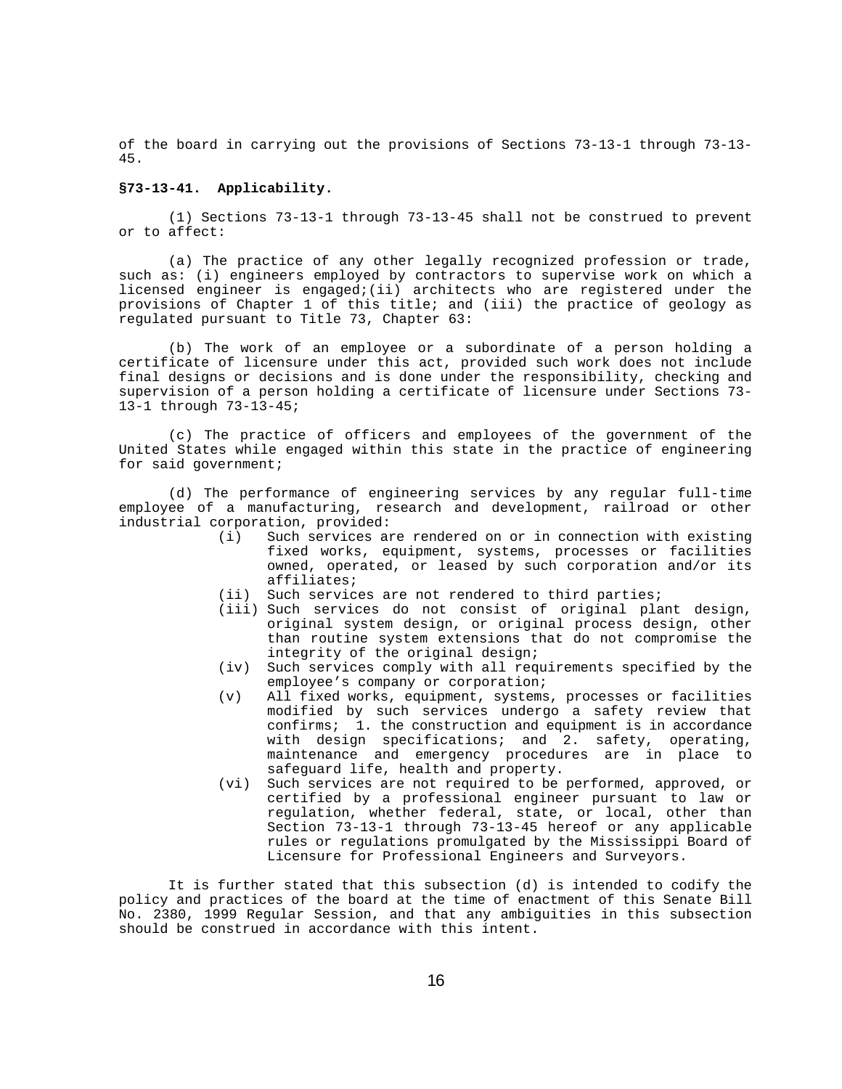of the board in carrying out the provisions of Sections 73-13-1 through 73-13- 45.

# **§73-13-41. Applicability.**

(1) Sections 73-13-1 through 73-13-45 shall not be construed to prevent or to affect:

(a) The practice of any other legally recognized profession or trade, such as: (i) engineers employed by contractors to supervise work on which a licensed engineer is engaged;(ii) architects who are registered under the provisions of Chapter 1 of this title; and (iii) the practice of geology as regulated pursuant to Title 73, Chapter 63:

(b) The work of an employee or a subordinate of a person holding a certificate of licensure under this act, provided such work does not include final designs or decisions and is done under the responsibility, checking and supervision of a person holding a certificate of licensure under Sections 73- 13-1 through 73-13-45;

(c) The practice of officers and employees of the government of the United States while engaged within this state in the practice of engineering for said government;

(d) The performance of engineering services by any regular full-time employee of a manufacturing, research and development, railroad or other industrial corporation, provided:<br>(i) Such services an

- Such services are rendered on or in connection with existing fixed works, equipment, systems, processes or facilities owned, operated, or leased by such corporation and/or its affiliates;
- (ii) Such services are not rendered to third parties;
- (iii) Such services do not consist of original plant design, original system design, or original process design, other than routine system extensions that do not compromise the integrity of the original design;
- (iv) Such services comply with all requirements specified by the employee's company or corporation;
- (v) All fixed works, equipment, systems, processes or facilities modified by such services undergo a safety review that confirms; 1. the construction and equipment is in accordance 1. the construction and equipment is in accordance with design specifications; and 2. safety, operating, maintenance and emergency procedures are in place to safeguard life, health and property.
- (vi) Such services are not required to be performed, approved, or certified by a professional engineer pursuant to law or regulation, whether federal, state, or local, other than Section 73-13-1 through 73-13-45 hereof or any applicable rules or regulations promulgated by the Mississippi Board of Licensure for Professional Engineers and Surveyors.

It is further stated that this subsection (d) is intended to codify the policy and practices of the board at the time of enactment of this Senate Bill No. 2380, 1999 Regular Session, and that any ambiguities in this subsection should be construed in accordance with this intent.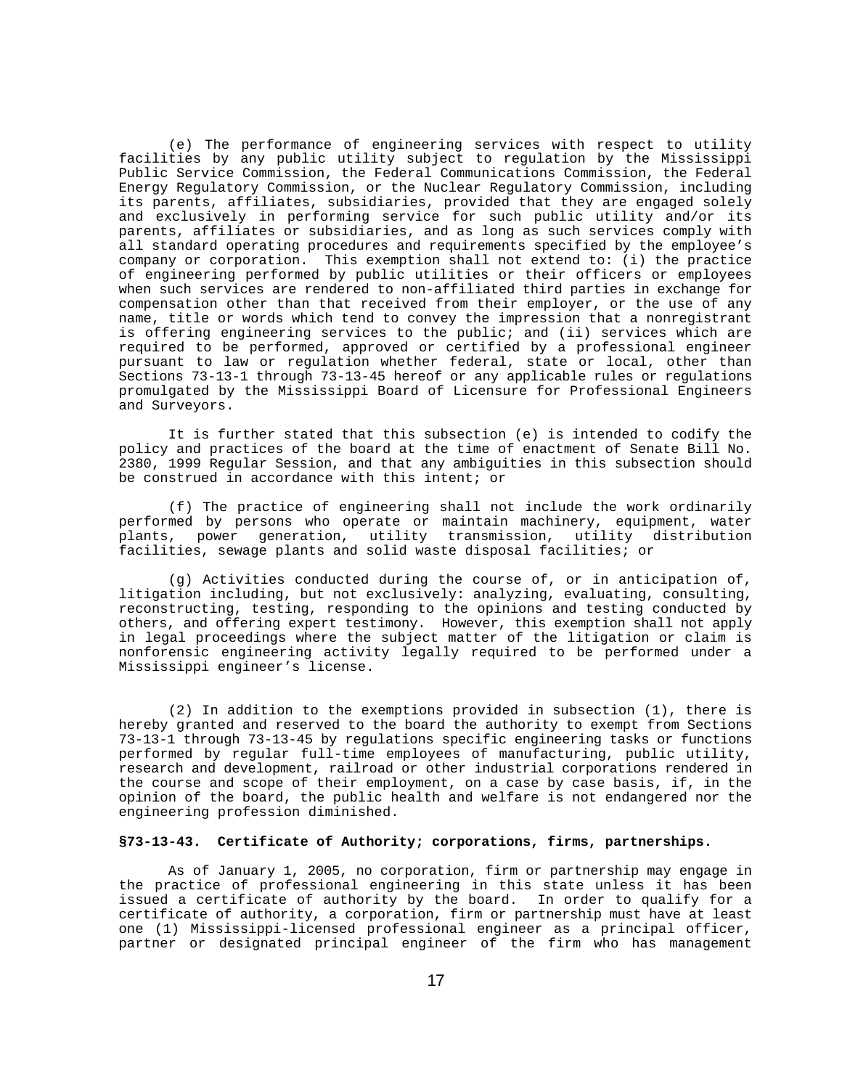(e) The performance of engineering services with respect to utility facilities by any public utility subject to regulation by the Mississippi Public Service Commission, the Federal Communications Commission, the Federal Energy Regulatory Commission, or the Nuclear Regulatory Commission, including its parents, affiliates, subsidiaries, provided that they are engaged solely and exclusively in performing service for such public utility and/or its parents, affiliates or subsidiaries, and as long as such services comply with all standard operating procedures and requirements specified by the employee's company or corporation. This exemption shall not extend to: (i) the practice of engineering performed by public utilities or their officers or employees when such services are rendered to non-affiliated third parties in exchange for compensation other than that received from their employer, or the use of any name, title or words which tend to convey the impression that a nonregistrant is offering engineering services to the public; and (ii) services which are required to be performed, approved or certified by a professional engineer pursuant to law or regulation whether federal, state or local, other than Sections 73-13-1 through 73-13-45 hereof or any applicable rules or regulations promulgated by the Mississippi Board of Licensure for Professional Engineers and Surveyors.

It is further stated that this subsection (e) is intended to codify the policy and practices of the board at the time of enactment of Senate Bill No. 2380, 1999 Regular Session, and that any ambiguities in this subsection should be construed in accordance with this intent; or

(f) The practice of engineering shall not include the work ordinarily performed by persons who operate or maintain machinery, equipment, water plants, power generation, utility transmission, utility distribution facilities, sewage plants and solid waste disposal facilities; or

 (g) Activities conducted during the course of, or in anticipation of, litigation including, but not exclusively: analyzing, evaluating, consulting, reconstructing, testing, responding to the opinions and testing conducted by others, and offering expert testimony. However, this exemption shall not apply in legal proceedings where the subject matter of the litigation or claim is nonforensic engineering activity legally required to be performed under a Mississippi engineer's license.

(2) In addition to the exemptions provided in subsection (1), there is hereby granted and reserved to the board the authority to exempt from Sections 73-13-1 through 73-13-45 by regulations specific engineering tasks or functions performed by regular full-time employees of manufacturing, public utility, research and development, railroad or other industrial corporations rendered in the course and scope of their employment, on a case by case basis, if, in the opinion of the board, the public health and welfare is not endangered nor the engineering profession diminished.

### **§73-13-43. Certificate of Authority; corporations, firms, partnerships.**

As of January 1, 2005, no corporation, firm or partnership may engage in the practice of professional engineering in this state unless it has been issued a certificate of authority by the board. In order to qualify for a certificate of authority, a corporation, firm or partnership must have at least one (1) Mississippi-licensed professional engineer as a principal officer, partner or designated principal engineer of the firm who has management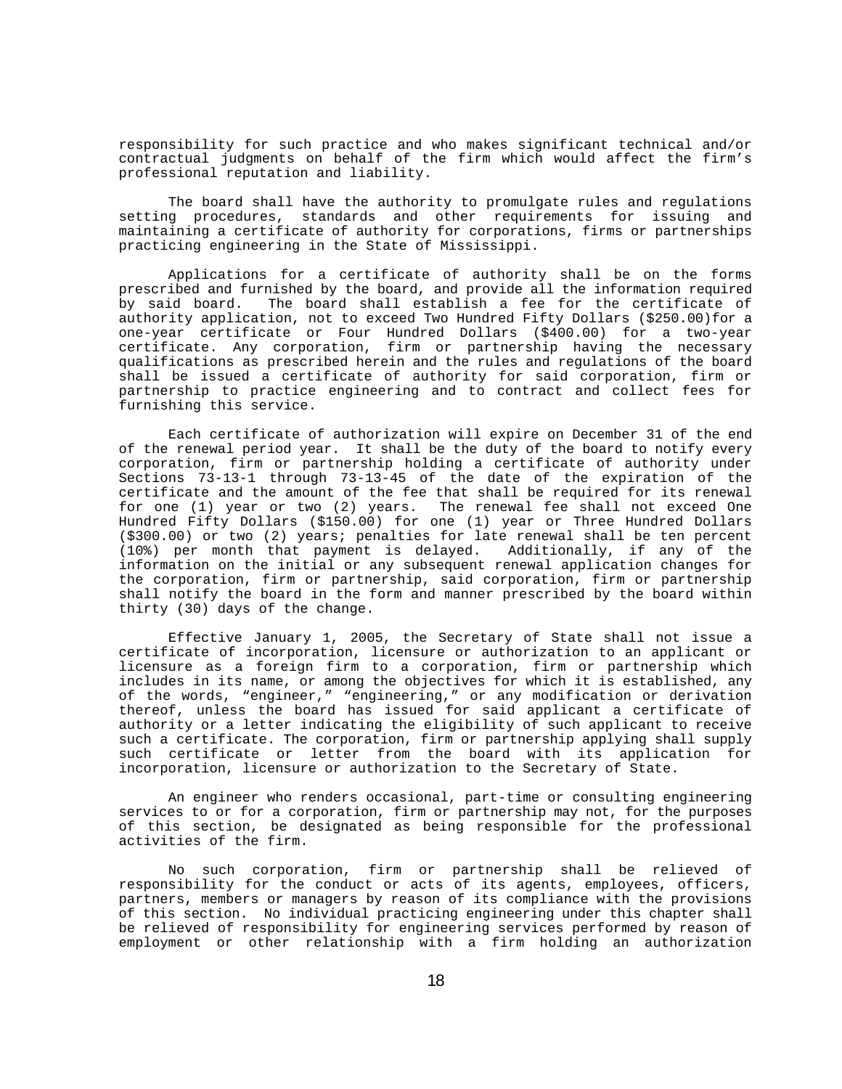responsibility for such practice and who makes significant technical and/or contractual judgments on behalf of the firm which would affect the firm's professional reputation and liability.

The board shall have the authority to promulgate rules and regulations setting procedures, standards and other requirements for issuing and maintaining a certificate of authority for corporations, firms or partnerships practicing engineering in the State of Mississippi.

Applications for a certificate of authority shall be on the forms prescribed and furnished by the board, and provide all the information required by said board. The board shall establish a fee for the certificate of authority application, not to exceed Two Hundred Fifty Dollars (\$250.00)for a one-year certificate or Four Hundred Dollars (\$400.00) for a two-year certificate. Any corporation, firm or partnership having the necessary qualifications as prescribed herein and the rules and regulations of the board shall be issued a certificate of authority for said corporation, firm or partnership to practice engineering and to contract and collect fees for furnishing this service.

Each certificate of authorization will expire on December 31 of the end of the renewal period year. It shall be the duty of the board to notify every corporation, firm or partnership holding a certificate of authority under Sections 73-13-1 through 73-13-45 of the date of the expiration of the certificate and the amount of the fee that shall be required for its renewal for one (1) year or two (2) years. The renewal fee shall not exceed One Hundred Fifty Dollars (\$150.00) for one (1) year or Three Hundred Dollars (\$300.00) or two (2) years; penalties for late renewal shall be ten percent (10%) per month that payment is delayed. Additionally, if any of the information on the initial or any subsequent renewal application changes for the corporation, firm or partnership, said corporation, firm or partnership shall notify the board in the form and manner prescribed by the board within thirty (30) days of the change.

Effective January 1, 2005, the Secretary of State shall not issue a certificate of incorporation, licensure or authorization to an applicant or licensure as a foreign firm to a corporation, firm or partnership which includes in its name, or among the objectives for which it is established, any of the words, "engineer," "engineering," or any modification or derivation thereof, unless the board has issued for said applicant a certificate of authority or a letter indicating the eligibility of such applicant to receive such a certificate. The corporation, firm or partnership applying shall supply such certificate or letter from the board with its application for incorporation, licensure or authorization to the Secretary of State.

An engineer who renders occasional, part-time or consulting engineering services to or for a corporation, firm or partnership may not, for the purposes of this section, be designated as being responsible for the professional activities of the firm.

No such corporation, firm or partnership shall be relieved of responsibility for the conduct or acts of its agents, employees, officers, partners, members or managers by reason of its compliance with the provisions of this section. No individual practicing engineering under this chapter shall be relieved of responsibility for engineering services performed by reason of employment or other relationship with a firm holding an authorization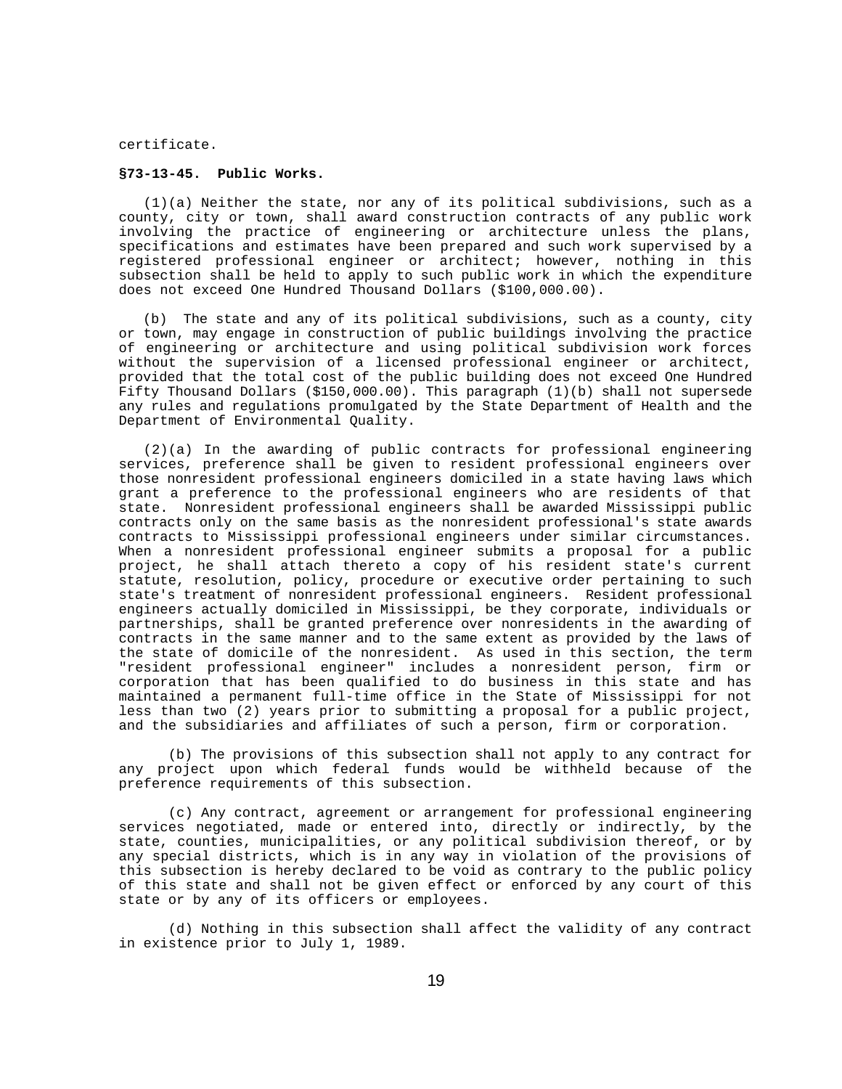certificate.

### **§73-13-45. Public Works.**

 (1)(a) Neither the state, nor any of its political subdivisions, such as a county, city or town, shall award construction contracts of any public work involving the practice of engineering or architecture unless the plans, specifications and estimates have been prepared and such work supervised by a registered professional engineer or architect; however, nothing in this subsection shall be held to apply to such public work in which the expenditure does not exceed One Hundred Thousand Dollars (\$100,000.00).

 (b) The state and any of its political subdivisions, such as a county, city or town, may engage in construction of public buildings involving the practice of engineering or architecture and using political subdivision work forces without the supervision of a licensed professional engineer or architect, provided that the total cost of the public building does not exceed One Hundred Fifty Thousand Dollars (\$150,000.00). This paragraph (1)(b) shall not supersede any rules and regulations promulgated by the State Department of Health and the Department of Environmental Quality.

 (2)(a) In the awarding of public contracts for professional engineering services, preference shall be given to resident professional engineers over those nonresident professional engineers domiciled in a state having laws which grant a preference to the professional engineers who are residents of that state. Nonresident professional engineers shall be awarded Mississippi public contracts only on the same basis as the nonresident professional's state awards contracts to Mississippi professional engineers under similar circumstances. When a nonresident professional engineer submits a proposal for a public project, he shall attach thereto a copy of his resident state's current statute, resolution, policy, procedure or executive order pertaining to such state's treatment of nonresident professional engineers. Resident professional engineers actually domiciled in Mississippi, be they corporate, individuals or partnerships, shall be granted preference over nonresidents in the awarding of contracts in the same manner and to the same extent as provided by the laws of the state of domicile of the nonresident. As used in this section, the term "resident professional engineer" includes a nonresident person, firm or corporation that has been qualified to do business in this state and has maintained a permanent full-time office in the State of Mississippi for not less than two (2) years prior to submitting a proposal for a public project, and the subsidiaries and affiliates of such a person, firm or corporation.

(b) The provisions of this subsection shall not apply to any contract for any project upon which federal funds would be withheld because of the preference requirements of this subsection.

(c) Any contract, agreement or arrangement for professional engineering services negotiated, made or entered into, directly or indirectly, by the state, counties, municipalities, or any political subdivision thereof, or by any special districts, which is in any way in violation of the provisions of this subsection is hereby declared to be void as contrary to the public policy of this state and shall not be given effect or enforced by any court of this state or by any of its officers or employees.

(d) Nothing in this subsection shall affect the validity of any contract in existence prior to July 1, 1989.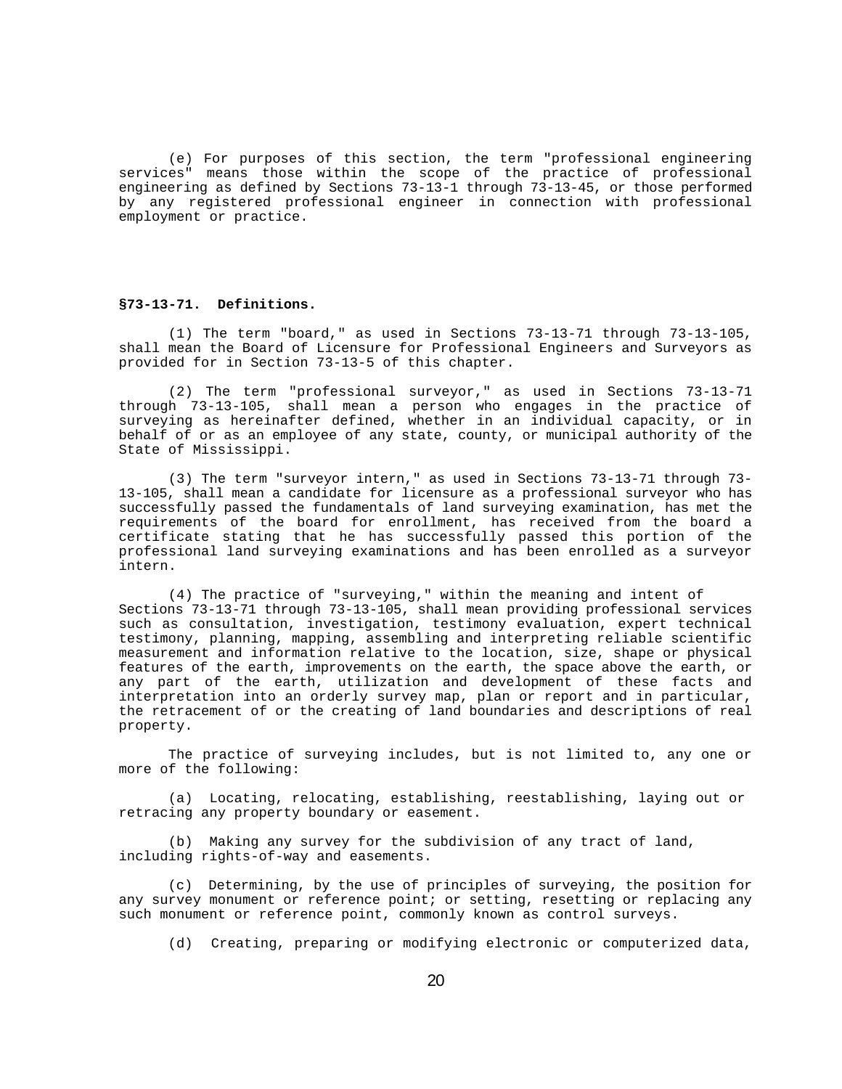(e) For purposes of this section, the term "professional engineering services" means those within the scope of the practice of professional engineering as defined by Sections 73-13-1 through 73-13-45, or those performed by any registered professional engineer in connection with professional employment or practice.

# **§73-13-71. Definitions.**

(1) The term "board," as used in Sections 73-13-71 through 73-13-105, shall mean the Board of Licensure for Professional Engineers and Surveyors as provided for in Section 73-13-5 of this chapter.

(2) The term "professional surveyor," as used in Sections 73-13-71 through 73-13-105, shall mean a person who engages in the practice of surveying as hereinafter defined, whether in an individual capacity, or in behalf of or as an employee of any state, county, or municipal authority of the State of Mississippi.

(3) The term "surveyor intern," as used in Sections 73-13-71 through 73- 13-105, shall mean a candidate for licensure as a professional surveyor who has successfully passed the fundamentals of land surveying examination, has met the requirements of the board for enrollment, has received from the board a certificate stating that he has successfully passed this portion of the professional land surveying examinations and has been enrolled as a surveyor intern.

(4) The practice of "surveying," within the meaning and intent of Sections 73-13-71 through 73-13-105, shall mean providing professional services such as consultation, investigation, testimony evaluation, expert technical testimony, planning, mapping, assembling and interpreting reliable scientific measurement and information relative to the location, size, shape or physical features of the earth, improvements on the earth, the space above the earth, or any part of the earth, utilization and development of these facts and interpretation into an orderly survey map, plan or report and in particular, the retracement of or the creating of land boundaries and descriptions of real property.

The practice of surveying includes, but is not limited to, any one or more of the following:

(a) Locating, relocating, establishing, reestablishing, laying out or retracing any property boundary or easement.

(b) Making any survey for the subdivision of any tract of land, including rights-of-way and easements.

(c) Determining, by the use of principles of surveying, the position for any survey monument or reference point; or setting, resetting or replacing any such monument or reference point, commonly known as control surveys.

(d) Creating, preparing or modifying electronic or computerized data,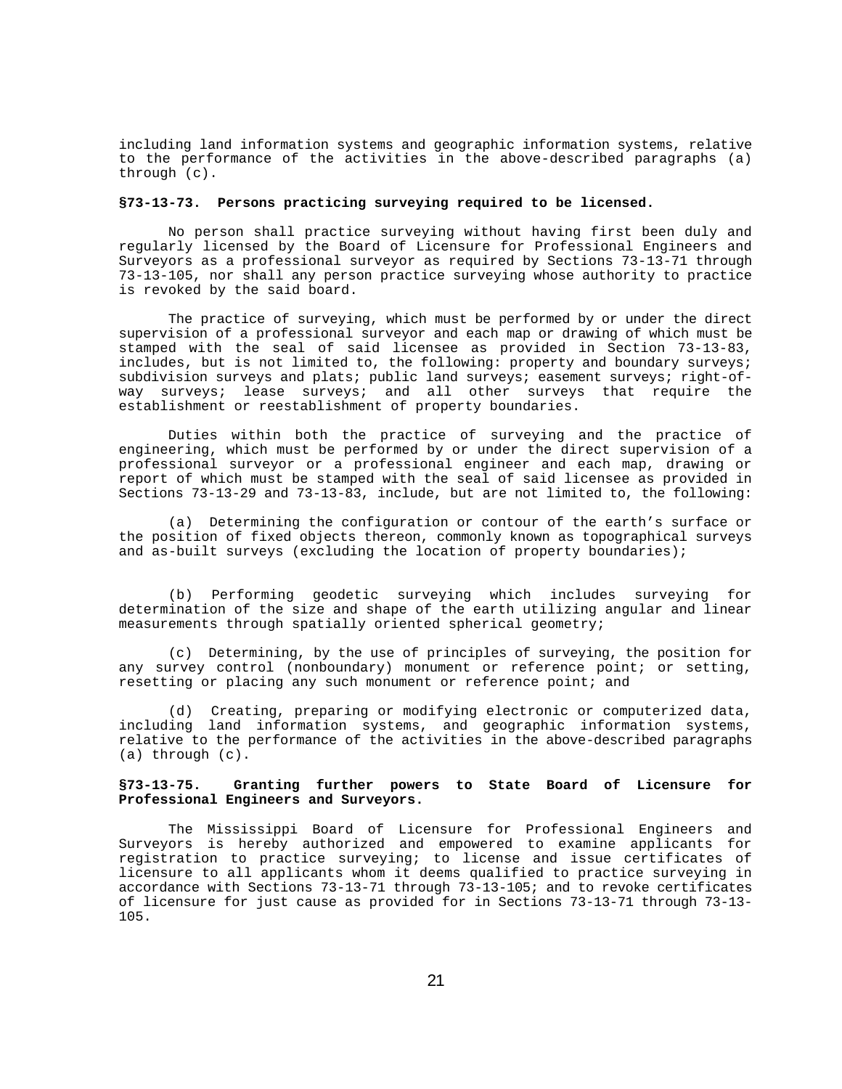including land information systems and geographic information systems, relative to the performance of the activities in the above-described paragraphs (a) through (c).

# **§73-13-73. Persons practicing surveying required to be licensed.**

No person shall practice surveying without having first been duly and regularly licensed by the Board of Licensure for Professional Engineers and Surveyors as a professional surveyor as required by Sections 73-13-71 through 73-13-105, nor shall any person practice surveying whose authority to practice is revoked by the said board.

The practice of surveying, which must be performed by or under the direct supervision of a professional surveyor and each map or drawing of which must be stamped with the seal of said licensee as provided in Section 73-13-83, includes, but is not limited to, the following: property and boundary surveys; subdivision surveys and plats; public land surveys; easement surveys; right-ofway surveys; lease surveys; and all other surveys that require the establishment or reestablishment of property boundaries.

Duties within both the practice of surveying and the practice of engineering, which must be performed by or under the direct supervision of a professional surveyor or a professional engineer and each map, drawing or report of which must be stamped with the seal of said licensee as provided in Sections 73-13-29 and 73-13-83, include, but are not limited to, the following:

(a) Determining the configuration or contour of the earth's surface or the position of fixed objects thereon, commonly known as topographical surveys and as-built surveys (excluding the location of property boundaries);

(b) Performing geodetic surveying which includes surveying for determination of the size and shape of the earth utilizing angular and linear measurements through spatially oriented spherical geometry;

(c) Determining, by the use of principles of surveying, the position for any survey control (nonboundary) monument or reference point; or setting, resetting or placing any such monument or reference point; and

(d) Creating, preparing or modifying electronic or computerized data, including land information systems, and geographic information systems, relative to the performance of the activities in the above-described paragraphs (a) through (c).

# **§73-13-75. Granting further powers to State Board of Licensure for Professional Engineers and Surveyors.**

The Mississippi Board of Licensure for Professional Engineers and Surveyors is hereby authorized and empowered to examine applicants for registration to practice surveying; to license and issue certificates of licensure to all applicants whom it deems qualified to practice surveying in accordance with Sections 73-13-71 through 73-13-105; and to revoke certificates of licensure for just cause as provided for in Sections 73-13-71 through 73-13- 105.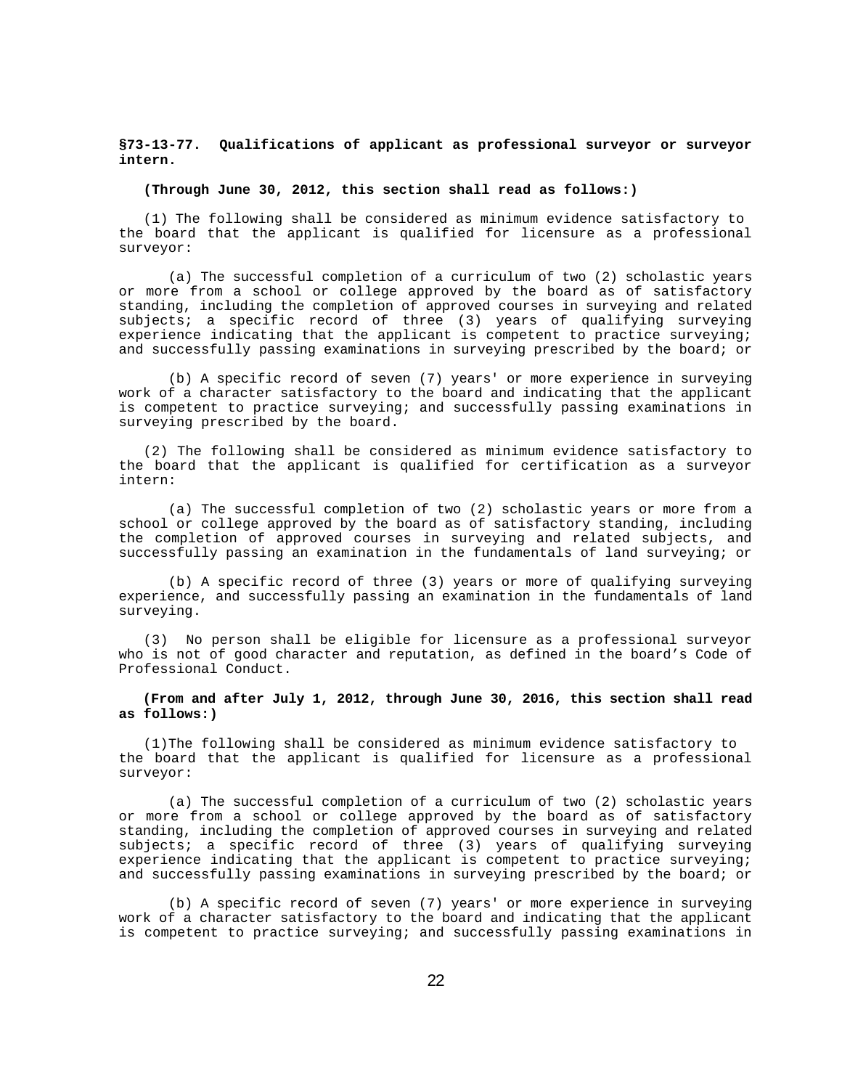# **§73-13-77. Qualifications of applicant as professional surveyor or surveyor intern.**

**(Through June 30, 2012, this section shall read as follows:)**

(1) The following shall be considered as minimum evidence satisfactory to the board that the applicant is qualified for licensure as a professional surveyor:

(a) The successful completion of a curriculum of two (2) scholastic years or more from a school or college approved by the board as of satisfactory standing, including the completion of approved courses in surveying and related subjects; a specific record of three (3) years of qualifying surveying experience indicating that the applicant is competent to practice surveying; and successfully passing examinations in surveying prescribed by the board; or

(b) A specific record of seven (7) years' or more experience in surveying work of a character satisfactory to the board and indicating that the applicant is competent to practice surveying; and successfully passing examinations in surveying prescribed by the board.

 (2) The following shall be considered as minimum evidence satisfactory to the board that the applicant is qualified for certification as a surveyor intern:

(a) The successful completion of two (2) scholastic years or more from a school or college approved by the board as of satisfactory standing, including the completion of approved courses in surveying and related subjects, and successfully passing an examination in the fundamentals of land surveying; or

(b) A specific record of three (3) years or more of qualifying surveying experience, and successfully passing an examination in the fundamentals of land surveying.

 (3) No person shall be eligible for licensure as a professional surveyor who is not of good character and reputation, as defined in the board's Code of Professional Conduct.

 **(From and after July 1, 2012, through June 30, 2016, this section shall read as follows:)**

(1)The following shall be considered as minimum evidence satisfactory to the board that the applicant is qualified for licensure as a professional surveyor:

(a) The successful completion of a curriculum of two (2) scholastic years or more from a school or college approved by the board as of satisfactory standing, including the completion of approved courses in surveying and related subjects; a specific record of three (3) years of qualifying surveying experience indicating that the applicant is competent to practice surveying; and successfully passing examinations in surveying prescribed by the board; or

(b) A specific record of seven (7) years' or more experience in surveying work of a character satisfactory to the board and indicating that the applicant is competent to practice surveying; and successfully passing examinations in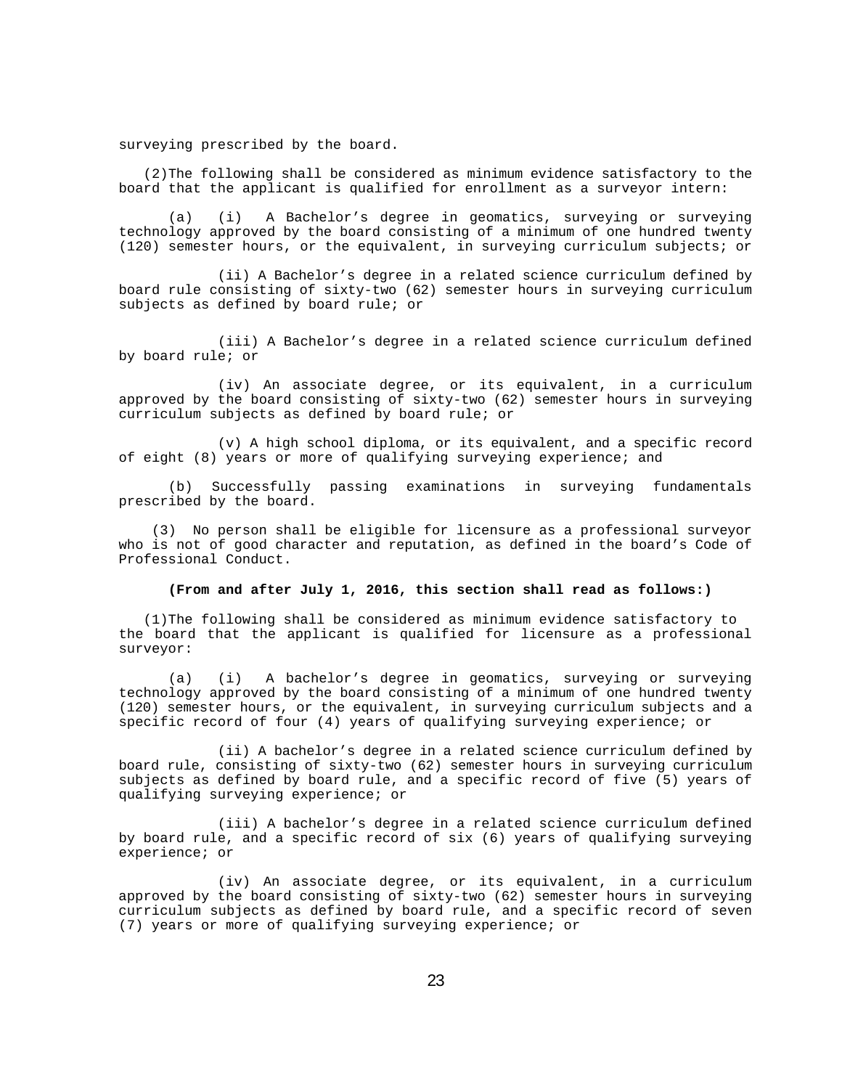surveying prescribed by the board.

(2)The following shall be considered as minimum evidence satisfactory to the board that the applicant is qualified for enrollment as a surveyor intern:

(a) (i) A Bachelor's degree in geomatics, surveying or surveying technology approved by the board consisting of a minimum of one hundred twenty (120) semester hours, or the equivalent, in surveying curriculum subjects; or

(ii) A Bachelor's degree in a related science curriculum defined by board rule consisting of sixty-two (62) semester hours in surveying curriculum subjects as defined by board rule; or

(iii) A Bachelor's degree in a related science curriculum defined by board rule; or

(iv) An associate degree, or its equivalent, in a curriculum approved by the board consisting of sixty-two (62) semester hours in surveying curriculum subjects as defined by board rule; or

(v) A high school diploma, or its equivalent, and a specific record of eight (8) years or more of qualifying surveying experience; and

(b) Successfully passing examinations in surveying fundamentals prescribed by the board.

 (3) No person shall be eligible for licensure as a professional surveyor who is not of good character and reputation, as defined in the board's Code of Professional Conduct.

# **(From and after July 1, 2016, this section shall read as follows:)**

(1)The following shall be considered as minimum evidence satisfactory to the board that the applicant is qualified for licensure as a professional surveyor:

(a) (i) A bachelor's degree in geomatics, surveying or surveying technology approved by the board consisting of a minimum of one hundred twenty (120) semester hours, or the equivalent, in surveying curriculum subjects and a specific record of four (4) years of qualifying surveying experience; or

(ii) A bachelor's degree in a related science curriculum defined by board rule, consisting of sixty-two (62) semester hours in surveying curriculum subjects as defined by board rule, and a specific record of five (5) years of qualifying surveying experience; or

(iii) A bachelor's degree in a related science curriculum defined by board rule, and a specific record of six (6) years of qualifying surveying experience; or

(iv) An associate degree, or its equivalent, in a curriculum approved by the board consisting of sixty-two (62) semester hours in surveying curriculum subjects as defined by board rule, and a specific record of seven (7) years or more of qualifying surveying experience; or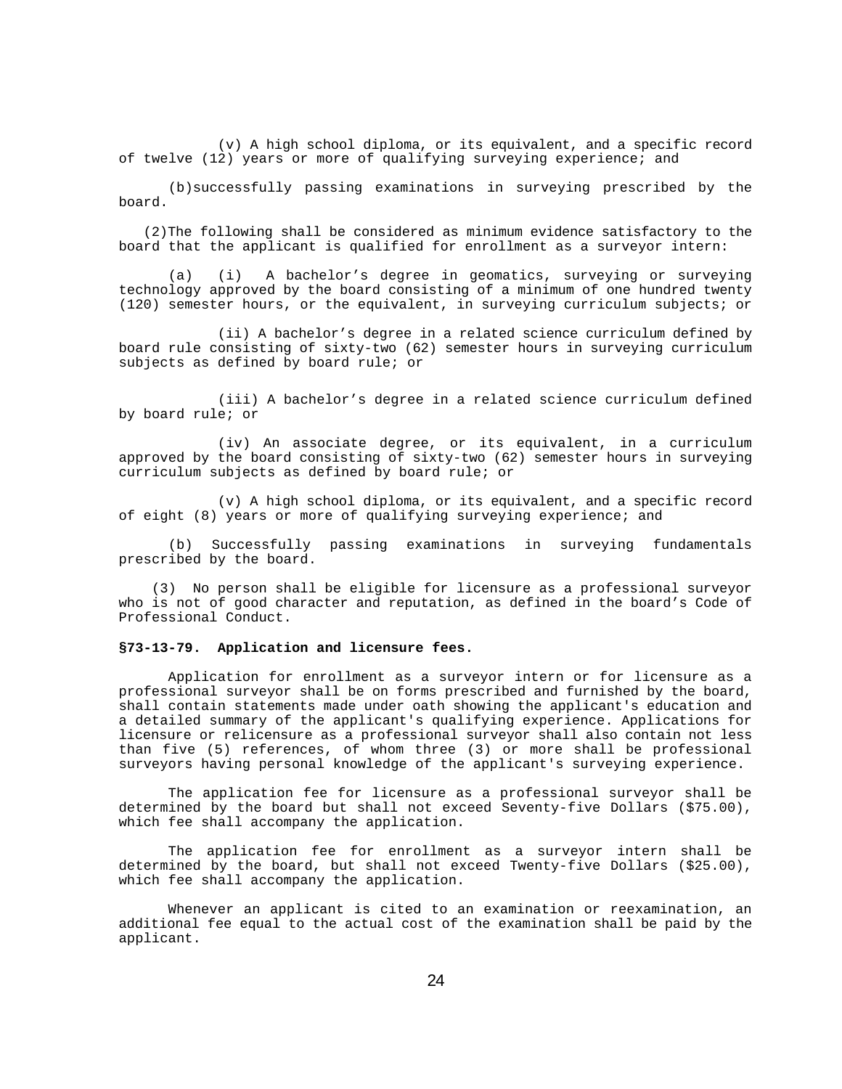(v) A high school diploma, or its equivalent, and a specific record of twelve (12) years or more of qualifying surveying experience; and

(b)successfully passing examinations in surveying prescribed by the board.

(2)The following shall be considered as minimum evidence satisfactory to the board that the applicant is qualified for enrollment as a surveyor intern:

(a) (i) A bachelor's degree in geomatics, surveying or surveying technology approved by the board consisting of a minimum of one hundred twenty (120) semester hours, or the equivalent, in surveying curriculum subjects; or

(ii) A bachelor's degree in a related science curriculum defined by board rule consisting of sixty-two (62) semester hours in surveying curriculum subjects as defined by board rule; or

(iii) A bachelor's degree in a related science curriculum defined by board rule; or

(iv) An associate degree, or its equivalent, in a curriculum approved by the board consisting of sixty-two (62) semester hours in surveying curriculum subjects as defined by board rule; or

(v) A high school diploma, or its equivalent, and a specific record of eight (8) years or more of qualifying surveying experience; and

(b) Successfully passing examinations in surveying fundamentals prescribed by the board.

 (3) No person shall be eligible for licensure as a professional surveyor who is not of good character and reputation, as defined in the board's Code of Professional Conduct.

### **§73-13-79. Application and licensure fees.**

Application for enrollment as a surveyor intern or for licensure as a professional surveyor shall be on forms prescribed and furnished by the board, shall contain statements made under oath showing the applicant's education and a detailed summary of the applicant's qualifying experience. Applications for licensure or relicensure as a professional surveyor shall also contain not less than five (5) references, of whom three (3) or more shall be professional surveyors having personal knowledge of the applicant's surveying experience.

The application fee for licensure as a professional surveyor shall be determined by the board but shall not exceed Seventy-five Dollars (\$75.00), which fee shall accompany the application.

The application fee for enrollment as a surveyor intern shall be determined by the board, but shall not exceed Twenty-five Dollars (\$25.00), which fee shall accompany the application.

Whenever an applicant is cited to an examination or reexamination, an additional fee equal to the actual cost of the examination shall be paid by the applicant.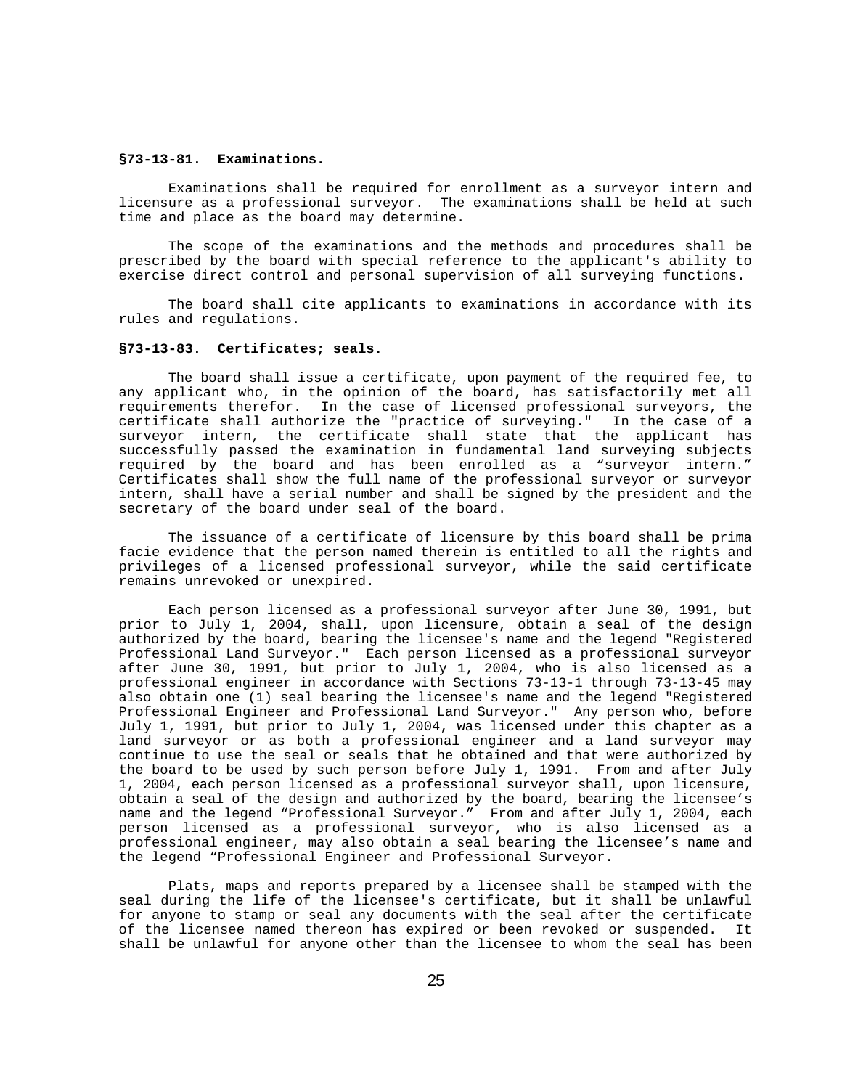### **§73-13-81. Examinations.**

Examinations shall be required for enrollment as a surveyor intern and licensure as a professional surveyor. The examinations shall be held at such time and place as the board may determine.

The scope of the examinations and the methods and procedures shall be prescribed by the board with special reference to the applicant's ability to exercise direct control and personal supervision of all surveying functions.

The board shall cite applicants to examinations in accordance with its rules and regulations.

# **§73-13-83. Certificates; seals.**

The board shall issue a certificate, upon payment of the required fee, to any applicant who, in the opinion of the board, has satisfactorily met all requirements therefor. In the case of licensed professional surveyors, the certificate shall authorize the "practice of surveying." In the case of a certificate shall authorize the "practice of surveying." surveyor intern, the certificate shall state that the applicant has successfully passed the examination in fundamental land surveying subjects required by the board and has been enrolled as a "surveyor intern." Certificates shall show the full name of the professional surveyor or surveyor intern, shall have a serial number and shall be signed by the president and the secretary of the board under seal of the board.

The issuance of a certificate of licensure by this board shall be prima facie evidence that the person named therein is entitled to all the rights and privileges of a licensed professional surveyor, while the said certificate remains unrevoked or unexpired.

Each person licensed as a professional surveyor after June 30, 1991, but prior to July 1, 2004, shall, upon licensure, obtain a seal of the design authorized by the board, bearing the licensee's name and the legend "Registered Professional Land Surveyor." Each person licensed as a professional surveyor after June 30, 1991, but prior to July 1, 2004, who is also licensed as a professional engineer in accordance with Sections 73-13-1 through 73-13-45 may also obtain one (1) seal bearing the licensee's name and the legend "Registered Professional Engineer and Professional Land Surveyor." Any person who, before July 1, 1991, but prior to July 1, 2004, was licensed under this chapter as a land surveyor or as both a professional engineer and a land surveyor may continue to use the seal or seals that he obtained and that were authorized by the board to be used by such person before July 1, 1991. From and after July 1, 2004, each person licensed as a professional surveyor shall, upon licensure, obtain a seal of the design and authorized by the board, bearing the licensee's name and the legend "Professional Surveyor." From and after July 1, 2004, each person licensed as a professional surveyor, who is also licensed as a professional engineer, may also obtain a seal bearing the licensee's name and the legend "Professional Engineer and Professional Surveyor.

Plats, maps and reports prepared by a licensee shall be stamped with the seal during the life of the licensee's certificate, but it shall be unlawful for anyone to stamp or seal any documents with the seal after the certificate of the licensee named thereon has expired or been revoked or suspended. It shall be unlawful for anyone other than the licensee to whom the seal has been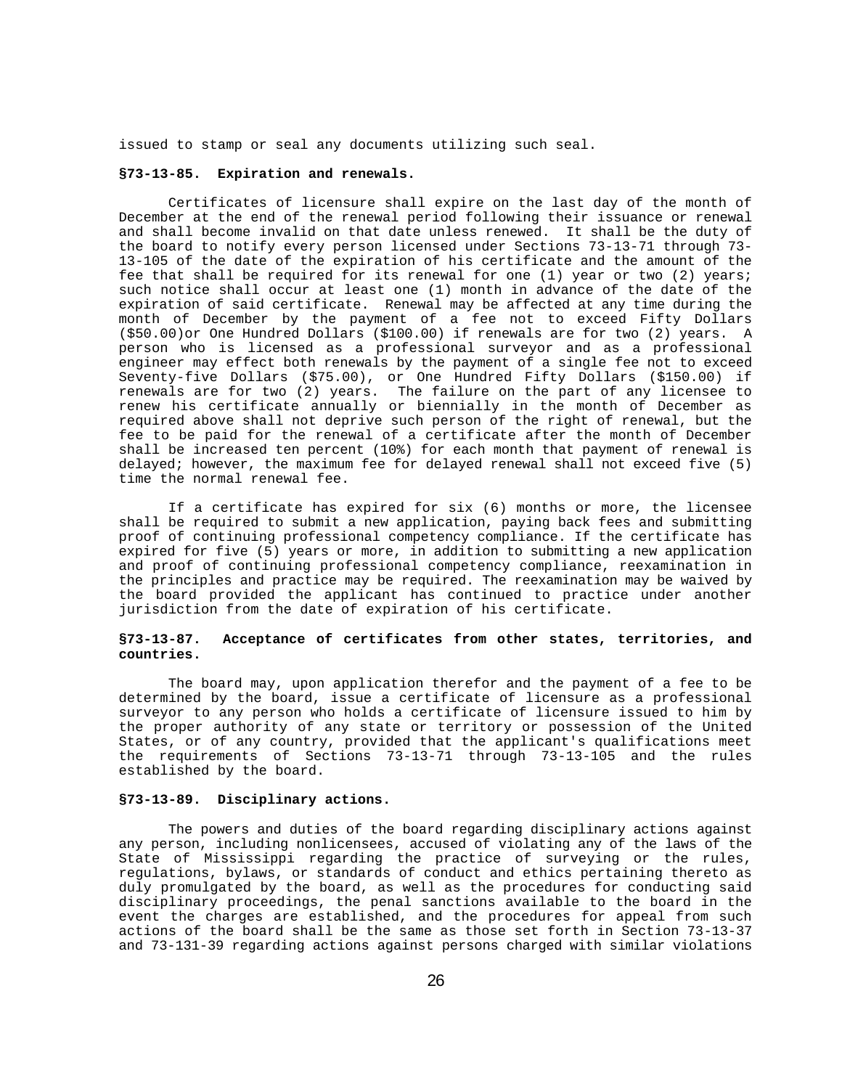issued to stamp or seal any documents utilizing such seal.

# **§73-13-85. Expiration and renewals.**

Certificates of licensure shall expire on the last day of the month of December at the end of the renewal period following their issuance or renewal and shall become invalid on that date unless renewed. It shall be the duty of the board to notify every person licensed under Sections 73-13-71 through 73- 13-105 of the date of the expiration of his certificate and the amount of the fee that shall be required for its renewal for one (1) year or two (2) years; such notice shall occur at least one (1) month in advance of the date of the expiration of said certificate. Renewal may be affected at any time during the month of December by the payment of a fee not to exceed Fifty Dollars (\$50.00)or One Hundred Dollars (\$100.00) if renewals are for two (2) years. A person who is licensed as a professional surveyor and as a professional engineer may effect both renewals by the payment of a single fee not to exceed Seventy-five Dollars (\$75.00), or One Hundred Fifty Dollars (\$150.00) if renewals are for two (2) years. The failure on the part of any licensee to renew his certificate annually or biennially in the month of December as required above shall not deprive such person of the right of renewal, but the fee to be paid for the renewal of a certificate after the month of December shall be increased ten percent (10%) for each month that payment of renewal is delayed; however, the maximum fee for delayed renewal shall not exceed five (5) time the normal renewal fee.

If a certificate has expired for six (6) months or more, the licensee shall be required to submit a new application, paying back fees and submitting proof of continuing professional competency compliance. If the certificate has expired for five (5) years or more, in addition to submitting a new application and proof of continuing professional competency compliance, reexamination in the principles and practice may be required. The reexamination may be waived by the board provided the applicant has continued to practice under another jurisdiction from the date of expiration of his certificate.

### **§73-13-87. Acceptance of certificates from other states, territories, and countries.**

The board may, upon application therefor and the payment of a fee to be determined by the board, issue a certificate of licensure as a professional surveyor to any person who holds a certificate of licensure issued to him by the proper authority of any state or territory or possession of the United States, or of any country, provided that the applicant's qualifications meet the requirements of Sections 73-13-71 through 73-13-105 and the rules established by the board.

# **§73-13-89. Disciplinary actions.**

The powers and duties of the board regarding disciplinary actions against any person, including nonlicensees, accused of violating any of the laws of the State of Mississippi regarding the practice of surveying or the rules, regulations, bylaws, or standards of conduct and ethics pertaining thereto as duly promulgated by the board, as well as the procedures for conducting said disciplinary proceedings, the penal sanctions available to the board in the event the charges are established, and the procedures for appeal from such actions of the board shall be the same as those set forth in Section 73-13-37 and 73-131-39 regarding actions against persons charged with similar violations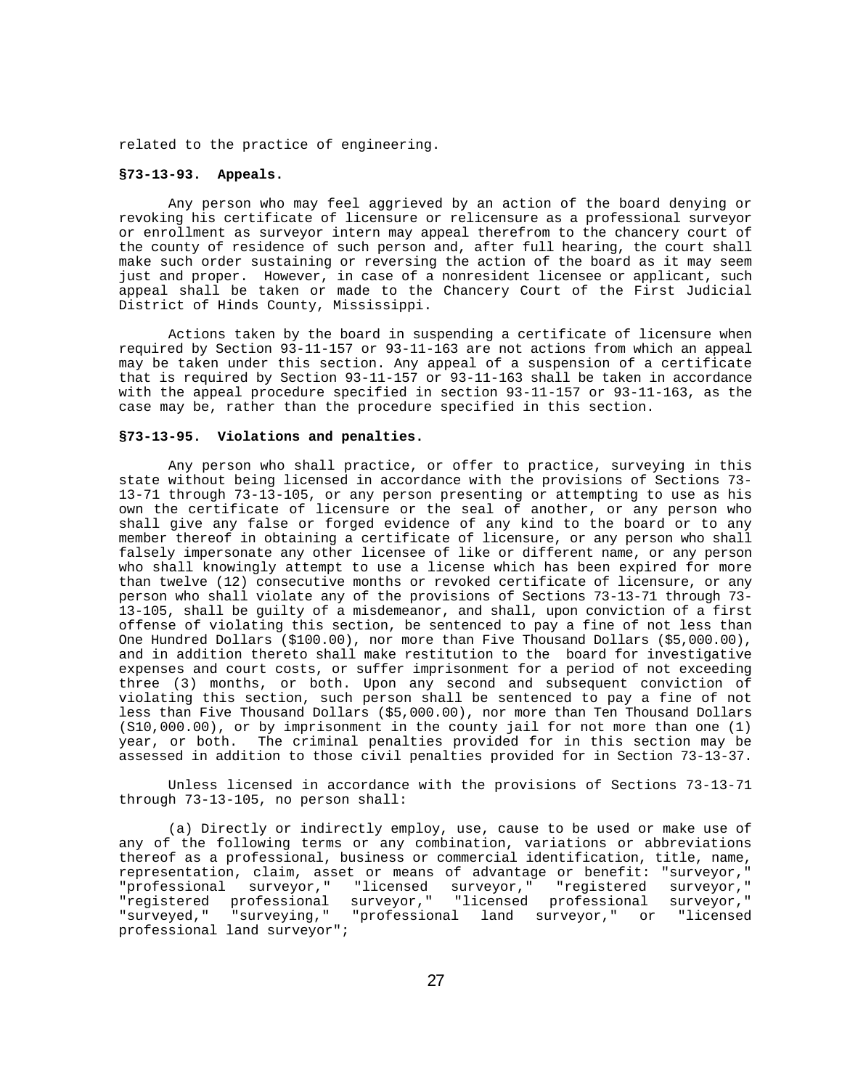related to the practice of engineering.

# **§73-13-93. Appeals.**

Any person who may feel aggrieved by an action of the board denying or revoking his certificate of licensure or relicensure as a professional surveyor or enrollment as surveyor intern may appeal therefrom to the chancery court of the county of residence of such person and, after full hearing, the court shall make such order sustaining or reversing the action of the board as it may seem just and proper. However, in case of a nonresident licensee or applicant, such appeal shall be taken or made to the Chancery Court of the First Judicial District of Hinds County, Mississippi.

Actions taken by the board in suspending a certificate of licensure when required by Section 93-11-157 or 93-11-163 are not actions from which an appeal may be taken under this section. Any appeal of a suspension of a certificate that is required by Section 93-11-157 or 93-11-163 shall be taken in accordance with the appeal procedure specified in section 93-11-157 or 93-11-163, as the case may be, rather than the procedure specified in this section.

#### **§73-13-95. Violations and penalties.**

Any person who shall practice, or offer to practice, surveying in this state without being licensed in accordance with the provisions of Sections 73- 13-71 through 73-13-105, or any person presenting or attempting to use as his own the certificate of licensure or the seal of another, or any person who shall give any false or forged evidence of any kind to the board or to any member thereof in obtaining a certificate of licensure, or any person who shall falsely impersonate any other licensee of like or different name, or any person who shall knowingly attempt to use a license which has been expired for more than twelve (12) consecutive months or revoked certificate of licensure, or any person who shall violate any of the provisions of Sections 73-13-71 through 73- 13-105, shall be guilty of a misdemeanor, and shall, upon conviction of a first offense of violating this section, be sentenced to pay a fine of not less than One Hundred Dollars (\$100.00), nor more than Five Thousand Dollars (\$5,000.00), and in addition thereto shall make restitution to the board for investigative expenses and court costs, or suffer imprisonment for a period of not exceeding three (3) months, or both. Upon any second and subsequent conviction of violating this section, such person shall be sentenced to pay a fine of not less than Five Thousand Dollars (\$5,000.00), nor more than Ten Thousand Dollars (S10,000.00), or by imprisonment in the county jail for not more than one (1) year, or both. The criminal penalties provided for in this section may be assessed in addition to those civil penalties provided for in Section 73-13-37.

Unless licensed in accordance with the provisions of Sections 73-13-71 through 73-13-105, no person shall:

(a) Directly or indirectly employ, use, cause to be used or make use of any of the following terms or any combination, variations or abbreviations thereof as a professional, business or commercial identification, title, name, representation, claim, asset or means of advantage or benefit: "surveyor," "professional surveyor," "licensed surveyor," "registered surveyor," "registered professional surveyor," "licensed professional surveyor," "surveyed," "surveying," "professional land surveyor," or "licensed professional land surveyor";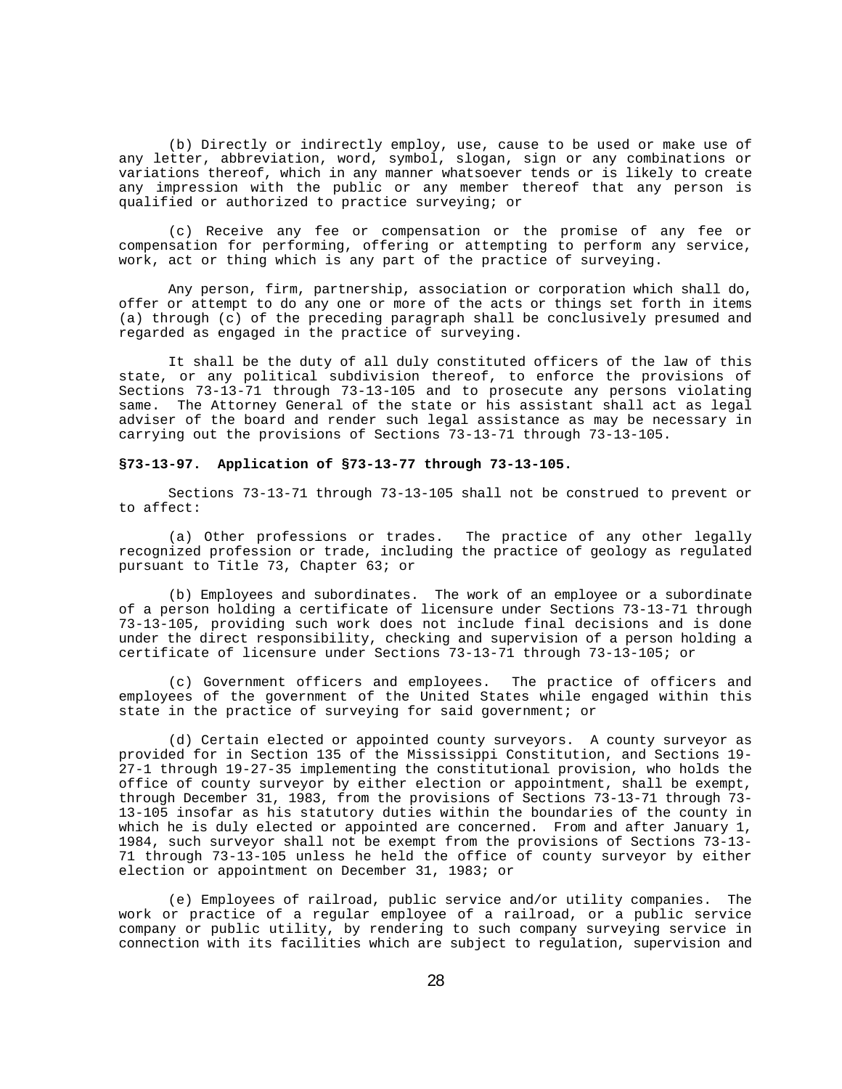(b) Directly or indirectly employ, use, cause to be used or make use of any letter, abbreviation, word, symbol, slogan, sign or any combinations or variations thereof, which in any manner whatsoever tends or is likely to create any impression with the public or any member thereof that any person is qualified or authorized to practice surveying; or

(c) Receive any fee or compensation or the promise of any fee or compensation for performing, offering or attempting to perform any service, work, act or thing which is any part of the practice of surveying.

Any person, firm, partnership, association or corporation which shall do, offer or attempt to do any one or more of the acts or things set forth in items (a) through (c) of the preceding paragraph shall be conclusively presumed and regarded as engaged in the practice of surveying.

It shall be the duty of all duly constituted officers of the law of this state, or any political subdivision thereof, to enforce the provisions of Sections 73-13-71 through 73-13-105 and to prosecute any persons violating<br>same. The Attorney General of the state or his assistant shall act as legal The Attorney General of the state or his assistant shall act as legal adviser of the board and render such legal assistance as may be necessary in carrying out the provisions of Sections 73-13-71 through 73-13-105.

#### **§73-13-97. Application of §73-13-77 through 73-13-105.**

Sections 73-13-71 through 73-13-105 shall not be construed to prevent or to affect:

(a) Other professions or trades. The practice of any other legally recognized profession or trade, including the practice of geology as regulated pursuant to Title 73, Chapter 63; or

(b) Employees and subordinates. The work of an employee or a subordinate of a person holding a certificate of licensure under Sections 73-13-71 through 73-13-105, providing such work does not include final decisions and is done under the direct responsibility, checking and supervision of a person holding a certificate of licensure under Sections 73-13-71 through 73-13-105; or

(c) Government officers and employees. The practice of officers and employees of the government of the United States while engaged within this state in the practice of surveying for said government; or

(d) Certain elected or appointed county surveyors. A county surveyor as provided for in Section 135 of the Mississippi Constitution, and Sections 19- 27-1 through 19-27-35 implementing the constitutional provision, who holds the office of county surveyor by either election or appointment, shall be exempt, through December 31, 1983, from the provisions of Sections 73-13-71 through 73- 13-105 insofar as his statutory duties within the boundaries of the county in which he is duly elected or appointed are concerned. From and after January 1, 1984, such surveyor shall not be exempt from the provisions of Sections 73-13- 71 through 73-13-105 unless he held the office of county surveyor by either election or appointment on December 31, 1983; or

(e) Employees of railroad, public service and/or utility companies. The work or practice of a regular employee of a railroad, or a public service company or public utility, by rendering to such company surveying service in connection with its facilities which are subject to regulation, supervision and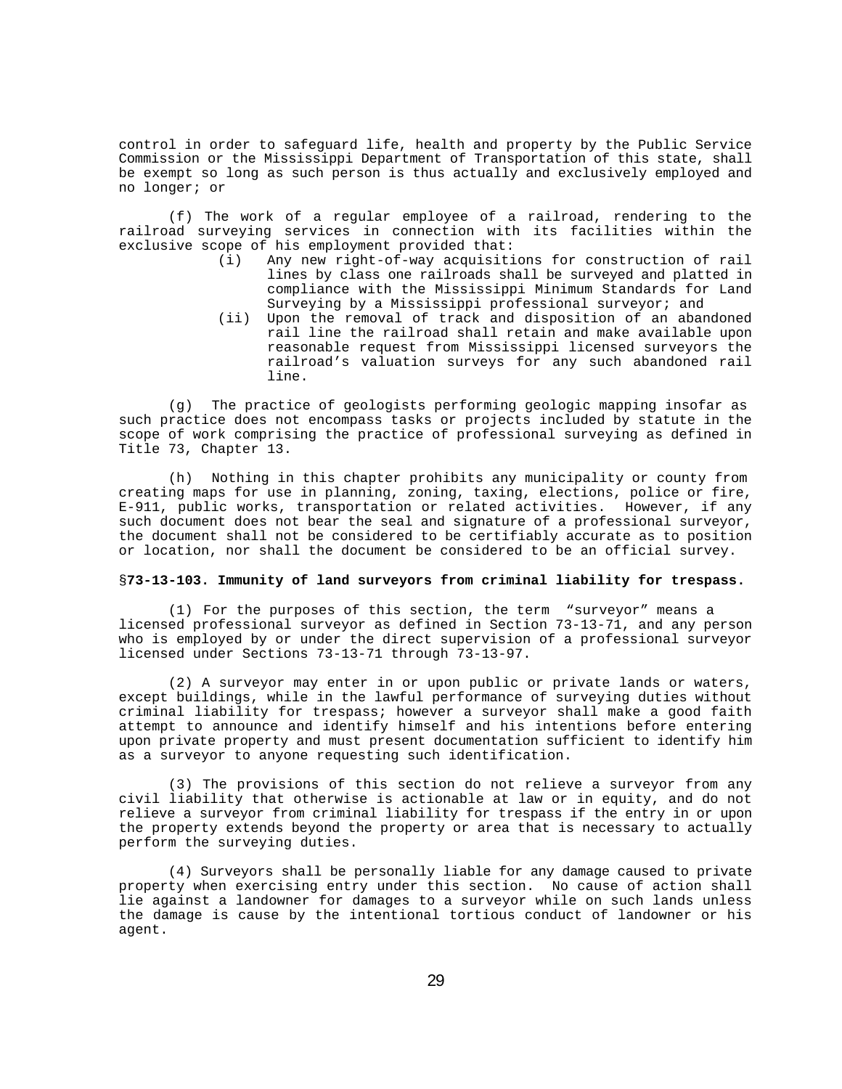control in order to safeguard life, health and property by the Public Service Commission or the Mississippi Department of Transportation of this state, shall be exempt so long as such person is thus actually and exclusively employed and no longer; or

(f) The work of a regular employee of a railroad, rendering to the railroad surveying services in connection with its facilities within the exclusive scope of his employment provided that:<br>(i) Any new right-of-way acquisiti

- Any new right-of-way acquisitions for construction of rail lines by class one railroads shall be surveyed and platted in compliance with the Mississippi Minimum Standards for Land Surveying by a Mississippi professional surveyor; and
- (ii) Upon the removal of track and disposition of an abandoned rail line the railroad shall retain and make available upon reasonable request from Mississippi licensed surveyors the railroad's valuation surveys for any such abandoned rail line.

(g) The practice of geologists performing geologic mapping insofar as such practice does not encompass tasks or projects included by statute in the scope of work comprising the practice of professional surveying as defined in Title 73, Chapter 13.

(h) Nothing in this chapter prohibits any municipality or county from creating maps for use in planning, zoning, taxing, elections, police or fire, E-911, public works, transportation or related activities. However, if any such document does not bear the seal and signature of a professional surveyor, the document shall not be considered to be certifiably accurate as to position or location, nor shall the document be considered to be an official survey.

### §**73-13-103. Immunity of land surveyors from criminal liability for trespass.**

(1) For the purposes of this section, the term "surveyor" means a licensed professional surveyor as defined in Section 73-13-71, and any person who is employed by or under the direct supervision of a professional surveyor licensed under Sections 73-13-71 through 73-13-97.

(2) A surveyor may enter in or upon public or private lands or waters, except buildings, while in the lawful performance of surveying duties without criminal liability for trespass; however a surveyor shall make a good faith attempt to announce and identify himself and his intentions before entering upon private property and must present documentation sufficient to identify him as a surveyor to anyone requesting such identification.

(3) The provisions of this section do not relieve a surveyor from any civil liability that otherwise is actionable at law or in equity, and do not relieve a surveyor from criminal liability for trespass if the entry in or upon the property extends beyond the property or area that is necessary to actually perform the surveying duties.

(4) Surveyors shall be personally liable for any damage caused to private property when exercising entry under this section. No cause of action shall lie against a landowner for damages to a surveyor while on such lands unless the damage is cause by the intentional tortious conduct of landowner or his agent.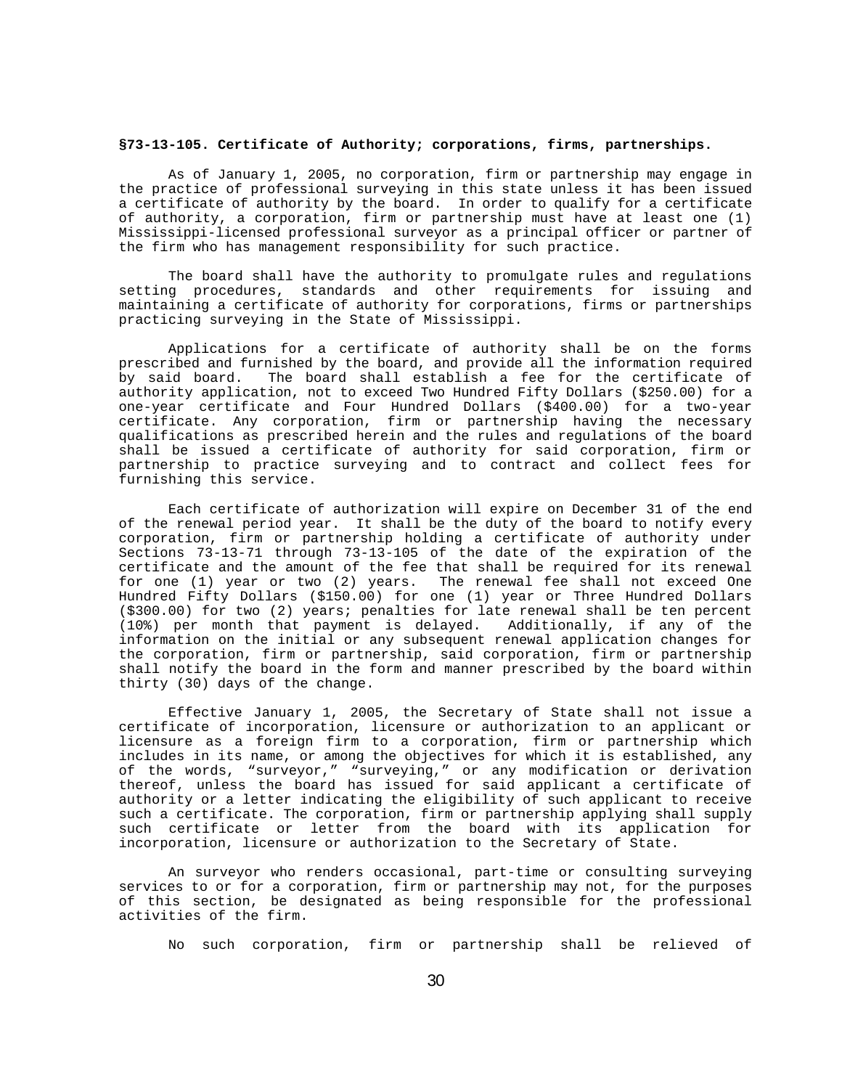### **§73-13-105. Certificate of Authority; corporations, firms, partnerships.**

As of January 1, 2005, no corporation, firm or partnership may engage in the practice of professional surveying in this state unless it has been issued a certificate of authority by the board. In order to qualify for a certificate of authority, a corporation, firm or partnership must have at least one (1) Mississippi-licensed professional surveyor as a principal officer or partner of the firm who has management responsibility for such practice.

The board shall have the authority to promulgate rules and regulations setting procedures, standards and other requirements for issuing and maintaining a certificate of authority for corporations, firms or partnerships practicing surveying in the State of Mississippi.

Applications for a certificate of authority shall be on the forms prescribed and furnished by the board, and provide all the information required The board shall establish a fee for the certificate of authority application, not to exceed Two Hundred Fifty Dollars (\$250.00) for a one-year certificate and Four Hundred Dollars (\$400.00) for a two-year certificate. Any corporation, firm or partnership having the necessary qualifications as prescribed herein and the rules and regulations of the board shall be issued a certificate of authority for said corporation, firm or partnership to practice surveying and to contract and collect fees for furnishing this service.

Each certificate of authorization will expire on December 31 of the end of the renewal period year. It shall be the duty of the board to notify every corporation, firm or partnership holding a certificate of authority under Sections 73-13-71 through 73-13-105 of the date of the expiration of the certificate and the amount of the fee that shall be required for its renewal for one (1) year or two (2) years. The renewal fee shall not exceed One Hundred Fifty Dollars (\$150.00) for one (1) year or Three Hundred Dollars  $( $300.00)$  for two  $(2)$  years; penalties for late renewal shall be ten percent  $(10*)$  per month that payment is delayed. Additionally, if any of the  $(10%)$  per month that payment is delayed. information on the initial or any subsequent renewal application changes for the corporation, firm or partnership, said corporation, firm or partnership shall notify the board in the form and manner prescribed by the board within thirty (30) days of the change.

Effective January 1, 2005, the Secretary of State shall not issue a certificate of incorporation, licensure or authorization to an applicant or licensure as a foreign firm to a corporation, firm or partnership which includes in its name, or among the objectives for which it is established, any of the words, "surveyor," "surveying," or any modification or derivation thereof, unless the board has issued for said applicant a certificate of authority or a letter indicating the eligibility of such applicant to receive such a certificate. The corporation, firm or partnership applying shall supply such certificate or letter from the board with its application for incorporation, licensure or authorization to the Secretary of State.

An surveyor who renders occasional, part-time or consulting surveying services to or for a corporation, firm or partnership may not, for the purposes of this section, be designated as being responsible for the professional activities of the firm.

No such corporation, firm or partnership shall be relieved of